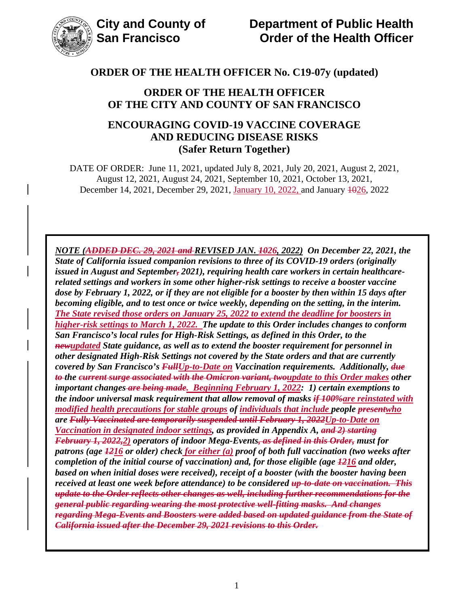

## **ORDER OF THE HEALTH OFFICER OF THE CITY AND COUNTY OF SAN FRANCISCO**

# **ENCOURAGING COVID-19 VACCINE COVERAGE AND REDUCING DISEASE RISKS (Safer Return Together)**

DATE OF ORDER: June 11, 2021, updated July 8, 2021, July 20, 2021, August 2, 2021, August 12, 2021, August 24, 2021, September 10, 2021, October 13, 2021, December 14, 2021, December 29, 2021, January 10, 2022, and January 4026, 2022

*NOTE (ADDED DEC. 29, 2021 and REVISED JAN. 1026, 2022) On December 22, 2021, the State of California issued companion revisions to three of its COVID-19 orders (originally issued in August and September, 2021), requiring health care workers in certain healthcarerelated settings and workers in some other higher-risk settings to receive a booster vaccine dose by February 1, 2022, or if they are not eligible for a booster by then within 15 days after becoming eligible, and to test once or twice weekly, depending on the setting, in the interim. The State revised those orders on January 25, 2022 to extend the deadline for boosters in higher-risk settings to March 1, 2022. The update to this Order includes changes to conform San Francisco's local rules for High-Risk Settings, as defined in this Order, to the newupdated State guidance, as well as to extend the booster requirement for personnel in other designated High-Risk Settings not covered by the State orders and that are currently covered by San Francisco's FullUp-to-Date on Vaccination requirements. Additionally, due to the current surge associated with the Omicron variant, twoupdate to this Order makes other important changes are being made. Beginning February 1, 2022: 1) certain exemptions to the indoor universal mask requirement that allow removal of masks if 100%are reinstated with modified health precautions for stable groups of individuals that include people presentwho are Fully Vaccinated are temporarily suspended until February 1, 2022Up-to-Date on Vaccination in designated indoor settings, as provided in Appendix A, and 2) starting February 1, 2022,2) operators of indoor Mega-Events, as defined in this Order, must for patrons (age 1216 or older) check for either (a) proof of both full vaccination (two weeks after completion of the initial course of vaccination) and, for those eligible (age 1216 and older, based on when initial doses were received), receipt of a booster (with the booster having been received at least one week before attendance) to be considered up-to-date on vaccination. This update to the Order reflects other changes as well, including further recommendations for the general public regarding wearing the most protective well-fitting masks. And changes regarding Mega-Events and Boosters were added based on updated guidance from the State of California issued after the December 29, 2021 revisions to this Order.*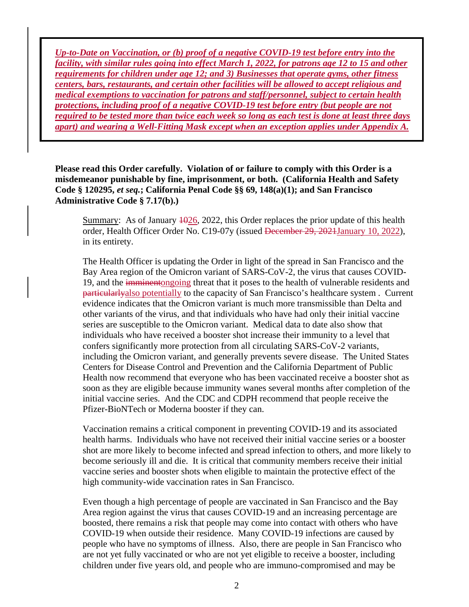*Up-to-Date on Vaccination, or (b) proof of a negative COVID-19 test before entry into the facility, with similar rules going into effect March 1, 2022, for patrons age 12 to 15 and other requirements for children under age 12; and 3) Businesses that operate gyms, other fitness centers, bars, restaurants, and certain other facilities will be allowed to accept religious and medical exemptions to vaccination for patrons and staff/personnel, subject to certain health protections, including proof of a negative COVID-19 test before entry (but people are not required to be tested more than twice each week so long as each test is done at least three days apart) and wearing a Well-Fitting Mask except when an exception applies under Appendix A.*

**Please read this Order carefully. Violation of or failure to comply with this Order is a misdemeanor punishable by fine, imprisonment, or both. (California Health and Safety Code § 120295,** *et seq.***; California Penal Code §§ 69, 148(a)(1); and San Francisco Administrative Code § 7.17(b).)**

Summary: As of January  $\frac{1026}{2022}$ , this Order replaces the prior update of this health order, Health Officer Order No. C19-07y (issued <del>December 29, 2021 January 10, 2022</del>), in its entirety.

The Health Officer is updating the Order in light of the spread in San Francisco and the Bay Area region of the Omicron variant of SARS-CoV-2, the virus that causes COVID-19, and the imminentongoing threat that it poses to the health of vulnerable residents and particularlyalso potentially to the capacity of San Francisco's healthcare system . Current evidence indicates that the Omicron variant is much more transmissible than Delta and other variants of the virus, and that individuals who have had only their initial vaccine series are susceptible to the Omicron variant. Medical data to date also show that individuals who have received a booster shot increase their immunity to a level that confers significantly more protection from all circulating SARS-CoV-2 variants, including the Omicron variant, and generally prevents severe disease. The United States Centers for Disease Control and Prevention and the California Department of Public Health now recommend that everyone who has been vaccinated receive a booster shot as soon as they are eligible because immunity wanes several months after completion of the initial vaccine series. And the CDC and CDPH recommend that people receive the Pfizer-BioNTech or Moderna booster if they can.

Vaccination remains a critical component in preventing COVID-19 and its associated health harms. Individuals who have not received their initial vaccine series or a booster shot are more likely to become infected and spread infection to others, and more likely to become seriously ill and die. It is critical that community members receive their initial vaccine series and booster shots when eligible to maintain the protective effect of the high community-wide vaccination rates in San Francisco.

Even though a high percentage of people are vaccinated in San Francisco and the Bay Area region against the virus that causes COVID-19 and an increasing percentage are boosted, there remains a risk that people may come into contact with others who have COVID-19 when outside their residence. Many COVID-19 infections are caused by people who have no symptoms of illness. Also, there are people in San Francisco who are not yet fully vaccinated or who are not yet eligible to receive a booster, including children under five years old, and people who are immuno-compromised and may be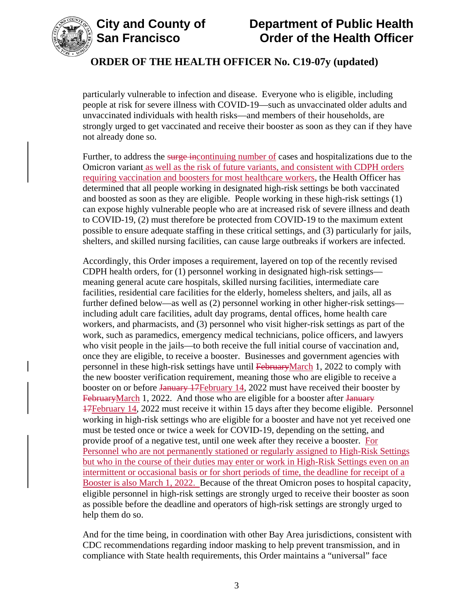



# **City and County of Department of Public Health Order of the Health Officer**

# **ORDER OF THE HEALTH OFFICER No. C19-07y (updated)**

particularly vulnerable to infection and disease. Everyone who is eligible, including people at risk for severe illness with COVID-19—such as unvaccinated older adults and unvaccinated individuals with health risks—and members of their households, are strongly urged to get vaccinated and receive their booster as soon as they can if they have not already done so.

Further, to address the surge incontinuing number of cases and hospitalizations due to the Omicron variant as well as the risk of future variants, and consistent with CDPH orders requiring vaccination and boosters for most healthcare workers, the Health Officer has determined that all people working in designated high-risk settings be both vaccinated and boosted as soon as they are eligible. People working in these high-risk settings (1) can expose highly vulnerable people who are at increased risk of severe illness and death to COVID-19, (2) must therefore be protected from COVID-19 to the maximum extent possible to ensure adequate staffing in these critical settings, and (3) particularly for jails, shelters, and skilled nursing facilities, can cause large outbreaks if workers are infected.

Accordingly, this Order imposes a requirement, layered on top of the recently revised CDPH health orders, for (1) personnel working in designated high-risk settings meaning general acute care hospitals, skilled nursing facilities, intermediate care facilities, residential care facilities for the elderly, homeless shelters, and jails, all as further defined below—as well as (2) personnel working in other higher-risk settings including adult care facilities, adult day programs, dental offices, home health care workers, and pharmacists, and (3) personnel who visit higher-risk settings as part of the work, such as paramedics, emergency medical technicians, police officers, and lawyers who visit people in the jails—to both receive the full initial course of vaccination and, once they are eligible, to receive a booster. Businesses and government agencies with personnel in these high-risk settings have until FebruaryMarch 1, 2022 to comply with the new booster verification requirement, meaning those who are eligible to receive a booster on or before January 17February 14, 2022 must have received their booster by FebruaryMarch 1, 2022. And those who are eligible for a booster after January 17February 14, 2022 must receive it within 15 days after they become eligible. Personnel working in high-risk settings who are eligible for a booster and have not yet received one must be tested once or twice a week for COVID-19, depending on the setting, and provide proof of a negative test, until one week after they receive a booster. For Personnel who are not permanently stationed or regularly assigned to High-Risk Settings but who in the course of their duties may enter or work in High-Risk Settings even on an intermittent or occasional basis or for short periods of time, the deadline for receipt of a Booster is also March 1, 2022. Because of the threat Omicron poses to hospital capacity, eligible personnel in high-risk settings are strongly urged to receive their booster as soon as possible before the deadline and operators of high-risk settings are strongly urged to help them do so.

And for the time being, in coordination with other Bay Area jurisdictions, consistent with CDC recommendations regarding indoor masking to help prevent transmission, and in compliance with State health requirements, this Order maintains a "universal" face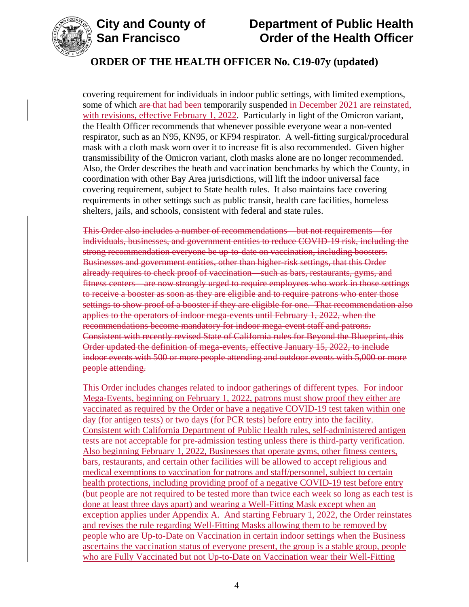

# **City and County of Department of Public Health Order of the Health Officer**

# **ORDER OF THE HEALTH OFFICER No. C19-07y (updated)**

covering requirement for individuals in indoor public settings, with limited exemptions, some of which are that had been temporarily suspended in December 2021 are reinstated, with revisions, effective February 1, 2022. Particularly in light of the Omicron variant, the Health Officer recommends that whenever possible everyone wear a non-vented respirator, such as an N95, KN95, or KF94 respirator. A well-fitting surgical/procedural mask with a cloth mask worn over it to increase fit is also recommended. Given higher transmissibility of the Omicron variant, cloth masks alone are no longer recommended. Also, the Order describes the heath and vaccination benchmarks by which the County, in coordination with other Bay Area jurisdictions, will lift the indoor universal face covering requirement, subject to State health rules. It also maintains face covering requirements in other settings such as public transit, health care facilities, homeless shelters, jails, and schools, consistent with federal and state rules.

This Order also includes a number of recommendations—but not requirements—for individuals, businesses, and government entities to reduce COVID-19 risk, including the strong recommendation everyone be up-to-date on vaccination, including boosters. Businesses and government entities, other than higher-risk settings, that this Order already requires to check proof of vaccination—such as bars, restaurants, gyms, and fitness centers—are now strongly urged to require employees who work in those settings to receive a booster as soon as they are eligible and to require patrons who enter those settings to show proof of a booster if they are eligible for one. That recommendation also applies to the operators of indoor mega-events until February 1, 2022, when the recommendations become mandatory for indoor mega-event staff and patrons. Consistent with recently revised State of California rules for Beyond the Blueprint, this Order updated the definition of mega-events, effective January 15, 2022, to include indoor events with 500 or more people attending and outdoor events with 5,000 or more people attending.

This Order includes changes related to indoor gatherings of different types. For indoor Mega-Events, beginning on February 1, 2022, patrons must show proof they either are vaccinated as required by the Order or have a negative COVID-19 test taken within one day (for antigen tests) or two days (for PCR tests) before entry into the facility. Consistent with California Department of Public Health rules, self-administered antigen tests are not acceptable for pre-admission testing unless there is third-party verification. Also beginning February 1, 2022, Businesses that operate gyms, other fitness centers, bars, restaurants, and certain other facilities will be allowed to accept religious and medical exemptions to vaccination for patrons and staff/personnel, subject to certain health protections, including providing proof of a negative COVID-19 test before entry (but people are not required to be tested more than twice each week so long as each test is done at least three days apart) and wearing a Well-Fitting Mask except when an exception applies under Appendix A. And starting February 1, 2022, the Order reinstates and revises the rule regarding Well-Fitting Masks allowing them to be removed by people who are Up-to-Date on Vaccination in certain indoor settings when the Business ascertains the vaccination status of everyone present, the group is a stable group, people who are Fully Vaccinated but not Up-to-Date on Vaccination wear their Well-Fitting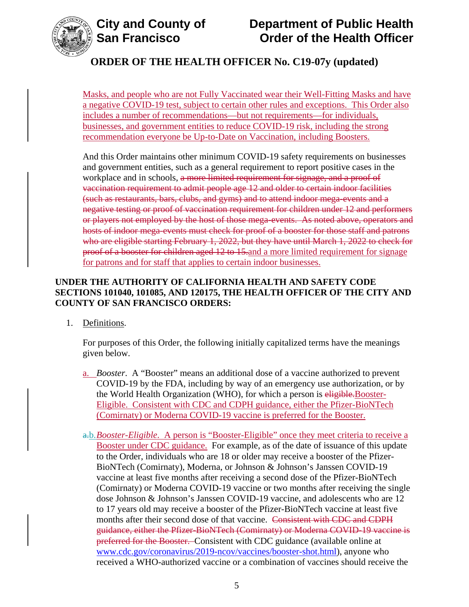

Masks, and people who are not Fully Vaccinated wear their Well-Fitting Masks and have a negative COVID-19 test, subject to certain other rules and exceptions. This Order also includes a number of recommendations—but not requirements—for individuals, businesses, and government entities to reduce COVID-19 risk, including the strong recommendation everyone be Up-to-Date on Vaccination, including Boosters.

And this Order maintains other minimum COVID-19 safety requirements on businesses and government entities, such as a general requirement to report positive cases in the workplace and in schools, a more limited requirement for signage, and a proof of vaccination requirement to admit people age 12 and older to certain indoor facilities (such as restaurants, bars, clubs, and gyms) and to attend indoor mega-events and a negative testing or proof of vaccination requirement for children under 12 and performers or players not employed by the host of those mega-events. As noted above, operators and hosts of indoor mega-events must check for proof of a booster for those staff and patrons who are eligible starting February 1, 2022, but they have until March 1, 2022 to check for proof of a booster for children aged 12 to 15.and a more limited requirement for signage for patrons and for staff that applies to certain indoor businesses.

## **UNDER THE AUTHORITY OF CALIFORNIA HEALTH AND SAFETY CODE SECTIONS 101040, 101085, AND 120175, THE HEALTH OFFICER OF THE CITY AND COUNTY OF SAN FRANCISCO ORDERS:**

1. Definitions.

For purposes of this Order, the following initially capitalized terms have the meanings given below.

- a. *Booster*. A "Booster" means an additional dose of a vaccine authorized to prevent COVID-19 by the FDA, including by way of an emergency use authorization, or by the World Health Organization (WHO), for which a person is eligible. Booster-Eligible. Consistent with CDC and CDPH guidance, either the Pfizer-BioNTech (Comirnaty) or Moderna COVID-19 vaccine is preferred for the Booster.
- a.b.*Booster-Eligible*. A person is "Booster-Eligible" once they meet criteria to receive a Booster under CDC guidance. For example, as of the date of issuance of this update to the Order, individuals who are 18 or older may receive a booster of the Pfizer-BioNTech (Comirnaty), Moderna, or Johnson & Johnson's Janssen COVID-19 vaccine at least five months after receiving a second dose of the Pfizer-BioNTech (Comirnaty) or Moderna COVID-19 vaccine or two months after receiving the single dose Johnson & Johnson's Janssen COVID-19 vaccine, and adolescents who are 12 to 17 years old may receive a booster of the Pfizer-BioNTech vaccine at least five months after their second dose of that vaccine. Consistent with CDC and CDPH guidance, either the Pfizer-BioNTech (Comirnaty) or Moderna COVID-19 vaccine is preferred for the Booster. Consistent with CDC guidance (available online at [www.cdc.gov/coronavirus/2019-ncov/vaccines/booster-shot.html\)](https://www.cdc.gov/coronavirus/2019-ncov/vaccines/booster-shot.html), anyone who received a WHO-authorized vaccine or a combination of vaccines should receive the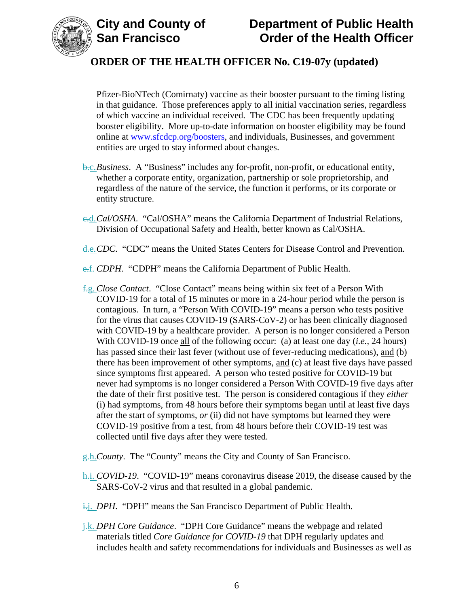



Pfizer-BioNTech (Comirnaty) vaccine as their booster pursuant to the timing listing in that guidance. Those preferences apply to all initial vaccination series, regardless of which vaccine an individual received. The CDC has been frequently updating booster eligibility. More up-to-date information on booster eligibility may be found online at [www.sfcdcp.org/boosters,](https://www.sfcdcp.org/boosters) and individuals, Businesses, and government entities are urged to stay informed about changes.

- b.c.*Business*. A "Business" includes any for-profit, non-profit, or educational entity, whether a corporate entity, organization, partnership or sole proprietorship, and regardless of the nature of the service, the function it performs, or its corporate or entity structure.
- c.d.*Cal/OSHA*. "Cal/OSHA" means the California Department of Industrial Relations, Division of Occupational Safety and Health, better known as Cal/OSHA.
- d.e.*CDC*. "CDC" means the United States Centers for Disease Control and Prevention.
- e.f. *CDPH.* "CDPH" means the California Department of Public Health.
- f.g. *Close Contact*. "Close Contact" means being within six feet of a Person With COVID-19 for a total of 15 minutes or more in a 24-hour period while the person is contagious. In turn, a "Person With COVID-19" means a person who tests positive for the virus that causes COVID-19 (SARS-CoV-2) or has been clinically diagnosed with COVID-19 by a healthcare provider. A person is no longer considered a Person With COVID-19 once all of the following occur: (a) at least one day (*i.e.*, 24 hours) has passed since their last fever (without use of fever-reducing medications), and (b) there has been improvement of other symptoms, and (c) at least five days have passed since symptoms first appeared. A person who tested positive for COVID-19 but never had symptoms is no longer considered a Person With COVID-19 five days after the date of their first positive test. The person is considered contagious if they *either* (i) had symptoms, from 48 hours before their symptoms began until at least five days after the start of symptoms, *or* (ii) did not have symptoms but learned they were COVID-19 positive from a test, from 48 hours before their COVID-19 test was collected until five days after they were tested.
- g.h.*County*. The "County" means the City and County of San Francisco.
- h.i. *COVID-19*. "COVID-19" means coronavirus disease 2019, the disease caused by the SARS-CoV-2 virus and that resulted in a global pandemic.
- i.j. *DPH*. "DPH" means the San Francisco Department of Public Health.
- j.k. *DPH Core Guidance*. "DPH Core Guidance" means the webpage and related materials titled *Core Guidance for COVID-19* that DPH regularly updates and includes health and safety recommendations for individuals and Businesses as well as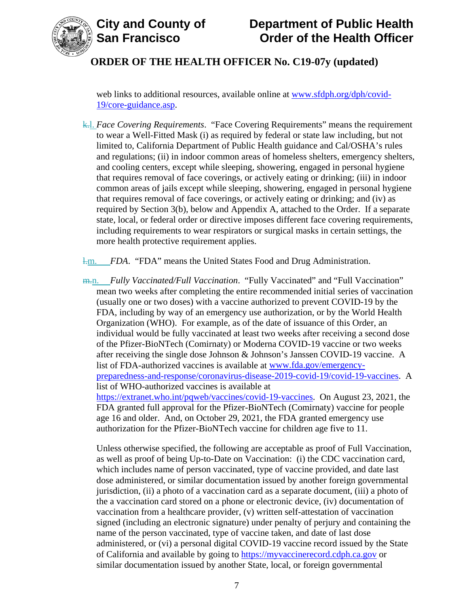



web links to additional resources, available online at [www.sfdph.org/dph/covid-](https://www.sfdph.org/dph/covid-19/core-guidance.asp)[19/core-guidance.asp.](https://www.sfdph.org/dph/covid-19/core-guidance.asp)

k.l. *Face Covering Requirements*. "Face Covering Requirements" means the requirement to wear a Well-Fitted Mask (i) as required by federal or state law including, but not limited to, California Department of Public Health guidance and Cal/OSHA's rules and regulations; (ii) in indoor common areas of homeless shelters, emergency shelters, and cooling centers, except while sleeping, showering, engaged in personal hygiene that requires removal of face coverings, or actively eating or drinking; (iii) in indoor common areas of jails except while sleeping, showering, engaged in personal hygiene that requires removal of face coverings, or actively eating or drinking; and (iv) as required by Section 3(b), below and Appendix A, attached to the Order. If a separate state, local, or federal order or directive imposes different face covering requirements, including requirements to wear respirators or surgical masks in certain settings, the more health protective requirement applies.

l.m. *FDA*. "FDA" means the United States Food and Drug Administration.

m.n. *Fully Vaccinated/Full Vaccination*. "Fully Vaccinated" and "Full Vaccination" mean two weeks after completing the entire recommended initial series of vaccination (usually one or two doses) with a vaccine authorized to prevent COVID-19 by the FDA, including by way of an emergency use authorization, or by the World Health Organization (WHO). For example, as of the date of issuance of this Order, an individual would be fully vaccinated at least two weeks after receiving a second dose of the Pfizer-BioNTech (Comirnaty) or Moderna COVID-19 vaccine or two weeks after receiving the single dose Johnson & Johnson's Janssen COVID-19 vaccine. A list of FDA-authorized vaccines is available at [www.fda.gov/emergency](https://www.fda.gov/emergency-preparedness-and-response/coronavirus-disease-2019-covid-19/covid-19-vaccines)[preparedness-and-response/coronavirus-disease-2019-covid-19/covid-19-vaccines.](https://www.fda.gov/emergency-preparedness-and-response/coronavirus-disease-2019-covid-19/covid-19-vaccines) A list of WHO-authorized vaccines is available at [https://extranet.who.int/pqweb/vaccines/covid-19-vaccines.](https://extranet.who.int/pqweb/vaccines/covid-19-vaccines) On August 23, 2021, the FDA granted full approval for the Pfizer-BioNTech (Comirnaty) vaccine for people age 16 and older. And, on October 29, 2021, the FDA granted emergency use authorization for the Pfizer-BioNTech vaccine for children age five to 11.

Unless otherwise specified, the following are acceptable as proof of Full Vaccination, as well as proof of being Up-to-Date on Vaccination: (i) the CDC vaccination card, which includes name of person vaccinated, type of vaccine provided, and date last dose administered, or similar documentation issued by another foreign governmental jurisdiction, (ii) a photo of a vaccination card as a separate document, (iii) a photo of the a vaccination card stored on a phone or electronic device, (iv) documentation of vaccination from a healthcare provider, (v) written self-attestation of vaccination signed (including an electronic signature) under penalty of perjury and containing the name of the person vaccinated, type of vaccine taken, and date of last dose administered, or (vi) a personal digital COVID-19 vaccine record issued by the State of California and available by going to [https://myvaccinerecord.cdph.ca.gov](https://myvaccinerecord.cdph.ca.gov/) or similar documentation issued by another State, local, or foreign governmental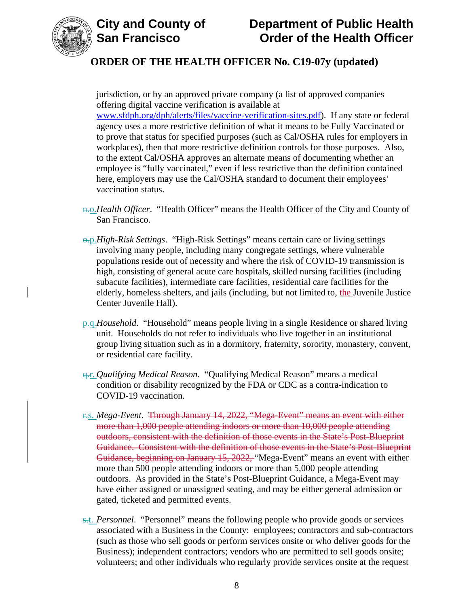



jurisdiction, or by an approved private company (a list of approved companies offering digital vaccine verification is available at [www.sfdph.org/dph/alerts/files/vaccine-verification-sites.pdf\)](https://www.sfdph.org/dph/alerts/files/vaccine-verification-sites.pdf). If any state or federal agency uses a more restrictive definition of what it means to be Fully Vaccinated or to prove that status for specified purposes (such as Cal/OSHA rules for employers in workplaces), then that more restrictive definition controls for those purposes. Also, to the extent Cal/OSHA approves an alternate means of documenting whether an employee is "fully vaccinated," even if less restrictive than the definition contained here, employers may use the Cal/OSHA standard to document their employees' vaccination status.

- n.o.*Health Officer*. "Health Officer" means the Health Officer of the City and County of San Francisco.
- o.p.*High-Risk Settings*. "High-Risk Settings" means certain care or living settings involving many people, including many congregate settings, where vulnerable populations reside out of necessity and where the risk of COVID-19 transmission is high, consisting of general acute care hospitals, skilled nursing facilities (including subacute facilities), intermediate care facilities, residential care facilities for the elderly, homeless shelters, and jails (including, but not limited to, the Juvenile Justice Center Juvenile Hall).
- **p.q.***Household.* "Household" means people living in a single Residence or shared living unit. Households do not refer to individuals who live together in an institutional group living situation such as in a dormitory, fraternity, sorority, monastery, convent, or residential care facility.
- q.r. *Qualifying Medical Reason*. "Qualifying Medical Reason" means a medical condition or disability recognized by the FDA or CDC as a contra-indication to COVID-19 vaccination.
- r.s. *Mega-Event*. Through January 14, 2022, "Mega-Event" means an event with either more than 1,000 people attending indoors or more than 10,000 people attending outdoors, consistent with the definition of those events in the State's Post-Blueprint Guidance. Consistent with the definition of those events in the State's Post-Blueprint Guidance, beginning on January 15, 2022, "Mega-Event" means an event with either more than 500 people attending indoors or more than 5,000 people attending outdoors. As provided in the State's Post-Blueprint Guidance, a Mega-Event may have either assigned or unassigned seating, and may be either general admission or gated, ticketed and permitted events.
- s.t. *Personnel*."Personnel" means the following people who provide goods or services associated with a Business in the County: employees; contractors and sub-contractors (such as those who sell goods or perform services onsite or who deliver goods for the Business); independent contractors; vendors who are permitted to sell goods onsite; volunteers; and other individuals who regularly provide services onsite at the request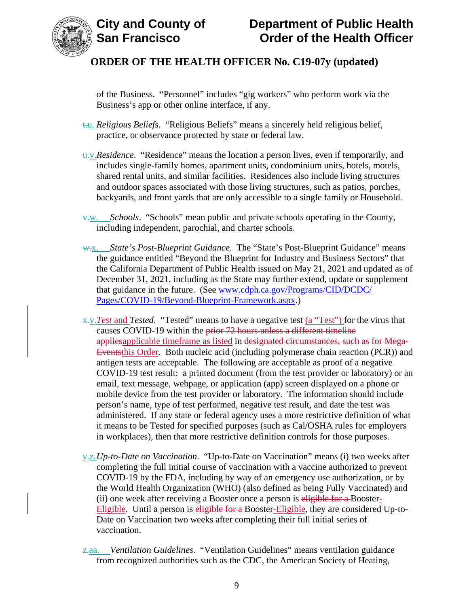



of the Business. "Personnel" includes "gig workers" who perform work via the Business's app or other online interface, if any.

- t.u. *Religious Beliefs*. "Religious Beliefs" means a sincerely held religious belief, practice, or observance protected by state or federal law.
- u.v.*Residence*. "Residence" means the location a person lives, even if temporarily, and includes single-family homes, apartment units, condominium units, hotels, motels, shared rental units, and similar facilities. Residences also include living structures and outdoor spaces associated with those living structures, such as patios, porches, backyards, and front yards that are only accessible to a single family or Household.
- v.w. *Schools*. "Schools" mean public and private schools operating in the County, including independent, parochial, and charter schools.
- w.x. *State's Post-Blueprint Guidance*. The "State's Post-Blueprint Guidance" means the guidance entitled "Beyond the Blueprint for Industry and Business Sectors" that the California Department of Public Health issued on May 21, 2021 and updated as of December 31, 2021, including as the State may further extend, update or supplement that guidance in the future. (See [www.cdph.ca.gov/Programs/CID/DCDC/](http://www.cdph.ca.gov/Programs/CID/DCDC/Pages/COVID-19/Beyond-Blueprint-Framework.aspx) [Pages/COVID-19/Beyond-Blueprint-Framework.aspx.](http://www.cdph.ca.gov/Programs/CID/DCDC/Pages/COVID-19/Beyond-Blueprint-Framework.aspx))
- x.y.*Test* and *Tested*. "Tested" means to have a negative test (a "Test") for the virus that causes COVID-19 within the prior 72 hours unless a different timeline appliesapplicable timeframe as listed in designated circumstances, such as for Mega-Eventsthis Order. Both nucleic acid (including polymerase chain reaction (PCR)) and antigen tests are acceptable. The following are acceptable as proof of a negative COVID-19 test result: a printed document (from the test provider or laboratory) or an email, text message, webpage, or application (app) screen displayed on a phone or mobile device from the test provider or laboratory. The information should include person's name, type of test performed, negative test result, and date the test was administered. If any state or federal agency uses a more restrictive definition of what it means to be Tested for specified purposes (such as Cal/OSHA rules for employers in workplaces), then that more restrictive definition controls for those purposes.
- y.z.*Up-to-Date on Vaccination*. "Up-to-Date on Vaccination" means (i) two weeks after completing the full initial course of vaccination with a vaccine authorized to prevent COVID-19 by the FDA, including by way of an emergency use authorization, or by the World Health Organization (WHO) (also defined as being Fully Vaccinated) and (ii) one week after receiving a Booster once a person is eligible for a Booster-Eligible. Until a person is eligible for a Booster-Eligible, they are considered Up-to-Date on Vaccination two weeks after completing their full initial series of vaccination.
- z.aa. *Ventilation Guidelines*. "Ventilation Guidelines" means ventilation guidance from recognized authorities such as the CDC, the American Society of Heating,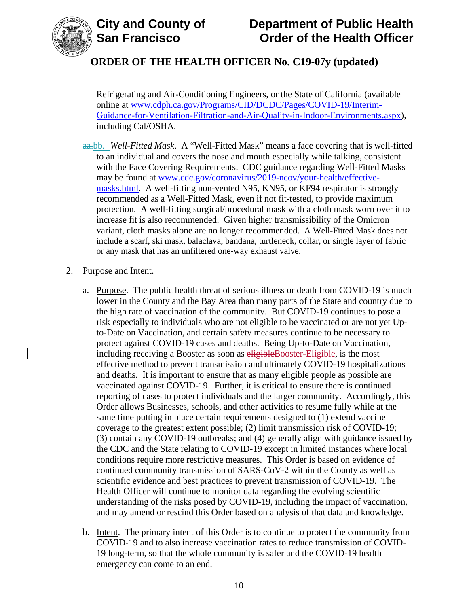



Refrigerating and Air-Conditioning Engineers, or the State of California (available online at [www.cdph.ca.gov/Programs/CID/DCDC/Pages/COVID-19/Interim-](https://www.cdph.ca.gov/Programs/CID/DCDC/Pages/COVID-19/Interim-Guidance-for-Ventilation-Filtration-and-Air-Quality-in-Indoor-Environments.aspx)[Guidance-for-Ventilation-Filtration-and-Air-Quality-in-Indoor-Environments.aspx\)](https://www.cdph.ca.gov/Programs/CID/DCDC/Pages/COVID-19/Interim-Guidance-for-Ventilation-Filtration-and-Air-Quality-in-Indoor-Environments.aspx), including Cal/OSHA.

aa.bb. *Well-Fitted Mask*. A "Well-Fitted Mask" means a face covering that is well-fitted to an individual and covers the nose and mouth especially while talking, consistent with the Face Covering Requirements. CDC guidance regarding Well-Fitted Masks may be found at [www.cdc.gov/coronavirus/2019-ncov/your-health/effective](https://www.cdc.gov/coronavirus/2019-ncov/your-health/effective-masks.html)[masks.html.](https://www.cdc.gov/coronavirus/2019-ncov/your-health/effective-masks.html) A well-fitting non-vented N95, KN95, or KF94 respirator is strongly recommended as a Well-Fitted Mask, even if not fit-tested, to provide maximum protection. A well-fitting surgical/procedural mask with a cloth mask worn over it to increase fit is also recommended. Given higher transmissibility of the Omicron variant, cloth masks alone are no longer recommended. A Well-Fitted Mask does not include a scarf, ski mask, balaclava, bandana, turtleneck, collar, or single layer of fabric or any mask that has an unfiltered one-way exhaust valve.

#### 2. Purpose and Intent.

- a. Purpose. The public health threat of serious illness or death from COVID-19 is much lower in the County and the Bay Area than many parts of the State and country due to the high rate of vaccination of the community. But COVID-19 continues to pose a risk especially to individuals who are not eligible to be vaccinated or are not yet Upto-Date on Vaccination, and certain safety measures continue to be necessary to protect against COVID-19 cases and deaths. Being Up-to-Date on Vaccination, including receiving a Booster as soon as eligibleBooster-Eligible, is the most effective method to prevent transmission and ultimately COVID-19 hospitalizations and deaths. It is important to ensure that as many eligible people as possible are vaccinated against COVID-19. Further, it is critical to ensure there is continued reporting of cases to protect individuals and the larger community. Accordingly, this Order allows Businesses, schools, and other activities to resume fully while at the same time putting in place certain requirements designed to (1) extend vaccine coverage to the greatest extent possible; (2) limit transmission risk of COVID-19; (3) contain any COVID-19 outbreaks; and (4) generally align with guidance issued by the CDC and the State relating to COVID-19 except in limited instances where local conditions require more restrictive measures. This Order is based on evidence of continued community transmission of SARS-CoV-2 within the County as well as scientific evidence and best practices to prevent transmission of COVID-19. The Health Officer will continue to monitor data regarding the evolving scientific understanding of the risks posed by COVID-19, including the impact of vaccination, and may amend or rescind this Order based on analysis of that data and knowledge.
- b. Intent. The primary intent of this Order is to continue to protect the community from COVID-19 and to also increase vaccination rates to reduce transmission of COVID-19 long-term, so that the whole community is safer and the COVID-19 health emergency can come to an end.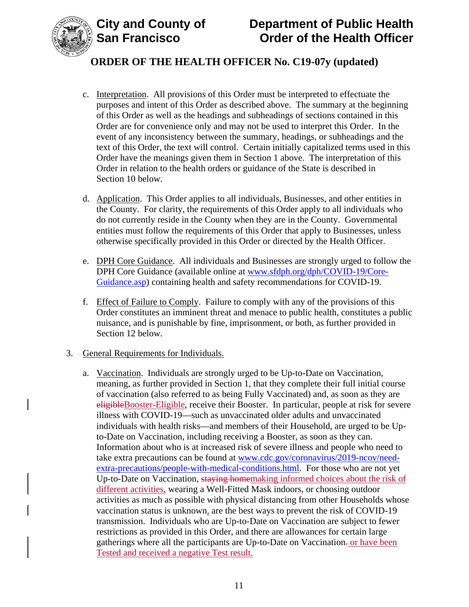

# **City and County of Department of Public Health Order of the Health Officer**

# **ORDER OF THE HEALTH OFFICER No. C19-07y (updated)**

- c. Interpretation. All provisions of this Order must be interpreted to effectuate the purposes and intent of this Order as described above. The summary at the beginning of this Order as well as the headings and subheadings of sections contained in this Order are for convenience only and may not be used to interpret this Order. In the event of any inconsistency between the summary, headings, or subheadings and the text of this Order, the text will control. Certain initially capitalized terms used in this Order have the meanings given them in Section 1 above. The interpretation of this Order in relation to the health orders or guidance of the State is described in Section 10 below.
- d. Application. This Order applies to all individuals, Businesses, and other entities in the County. For clarity, the requirements of this Order apply to all individuals who do not currently reside in the County when they are in the County. Governmental entities must follow the requirements of this Order that apply to Businesses, unless otherwise specifically provided in this Order or directed by the Health Officer.
- e. DPH Core Guidance. All individuals and Businesses are strongly urged to follow the DPH Core Guidance (available online at [www.sfdph.org/dph/COVID-19/Core-](https://www.sfdph.org/dph/COVID-19/Core-Guidance.asp)[Guidance.asp\)](https://www.sfdph.org/dph/COVID-19/Core-Guidance.asp) containing health and safety recommendations for COVID-19.
- f. Effect of Failure to Comply. Failure to comply with any of the provisions of this Order constitutes an imminent threat and menace to public health, constitutes a public nuisance, and is punishable by fine, imprisonment, or both, as further provided in Section 12 below.

#### 3. General Requirements for Individuals.

a. Vaccination. Individuals are strongly urged to be Up-to-Date on Vaccination, meaning, as further provided in Section 1, that they complete their full initial course of vaccination (also referred to as being Fully Vaccinated) and, as soon as they are eligibleBooster-Eligible, receive their Booster. In particular, people at risk for severe illness with COVID-19—such as unvaccinated older adults and unvaccinated individuals with health risks—and members of their Household, are urged to be Upto-Date on Vaccination, including receiving a Booster, as soon as they can. Information about who is at increased risk of severe illness and people who need to take extra precautions can be found at [www.cdc.gov/coronavirus/2019-ncov/need](https://www.cdc.gov/coronavirus/2019-ncov/need-extra-precautions/people-with-medical-conditions.html)[extra-precautions/people-with-medical-conditions.html.](https://www.cdc.gov/coronavirus/2019-ncov/need-extra-precautions/people-with-medical-conditions.html) For those who are not yet Up-to-Date on Vaccination, staying homemaking informed choices about the risk of different activities, wearing a Well-Fitted Mask indoors, or choosing outdoor activities as much as possible with physical distancing from other Households whose vaccination status is unknown, are the best ways to prevent the risk of COVID-19 transmission. Individuals who are Up-to-Date on Vaccination are subject to fewer restrictions as provided in this Order, and there are allowances for certain large gatherings where all the participants are Up-to-Date on Vaccination- or have been Tested and received a negative Test result.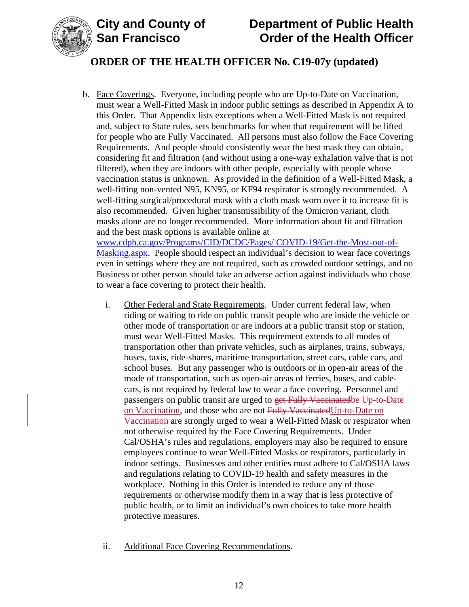

# **City and County of Department of Public Health Order of the Health Officer**

# **ORDER OF THE HEALTH OFFICER No. C19-07y (updated)**

- b. Face Coverings. Everyone, including people who are Up-to-Date on Vaccination, must wear a Well-Fitted Mask in indoor public settings as described in Appendix A to this Order. That Appendix lists exceptions when a Well-Fitted Mask is not required and, subject to State rules, sets benchmarks for when that requirement will be lifted for people who are Fully Vaccinated. All persons must also follow the Face Covering Requirements. And people should consistently wear the best mask they can obtain, considering fit and filtration (and without using a one-way exhalation valve that is not filtered), when they are indoors with other people, especially with people whose vaccination status is unknown. As provided in the definition of a Well-Fitted Mask, a well-fitting non-vented N95, KN95, or KF94 respirator is strongly recommended. A well-fitting surgical/procedural mask with a cloth mask worn over it to increase fit is also recommended. Given higher transmissibility of the Omicron variant, cloth masks alone are no longer recommended. More information about fit and filtration and the best mask options is available online at [www.cdph.ca.gov/Programs/CID/DCDC/Pages/](https://www.cdph.ca.gov/Programs/CID/DCDC/Pages/COVID-19/Get-the-Most-out-of-Masking.aspx) COVID-19/Get-the-Most-out-of-[Masking.aspx.](https://www.cdph.ca.gov/Programs/CID/DCDC/Pages/COVID-19/Get-the-Most-out-of-Masking.aspx) People should respect an individual's decision to wear face coverings even in settings where they are not required, such as crowded outdoor settings, and no Business or other person should take an adverse action against individuals who chose to wear a face covering to protect their health.
	- i. Other Federal and State Requirements. Under current federal law, when riding or waiting to ride on public transit people who are inside the vehicle or other mode of transportation or are indoors at a public transit stop or station, must wear Well-Fitted Masks. This requirement extends to all modes of transportation other than private vehicles, such as airplanes, trains, subways, buses, taxis, ride-shares, maritime transportation, street cars, cable cars, and school buses. But any passenger who is outdoors or in open-air areas of the mode of transportation, such as open-air areas of ferries, buses, and cablecars, is not required by federal law to wear a face covering. Personnel and passengers on public transit are urged to get Fully Vaccinatedbe Up-to-Date on Vaccination, and those who are not Fully VaccinatedUp-to-Date on Vaccination are strongly urged to wear a Well-Fitted Mask or respirator when not otherwise required by the Face Covering Requirements. Under Cal/OSHA's rules and regulations, employers may also be required to ensure employees continue to wear Well-Fitted Masks or respirators, particularly in indoor settings. Businesses and other entities must adhere to Cal/OSHA laws and regulations relating to COVID-19 health and safety measures in the workplace. Nothing in this Order is intended to reduce any of those requirements or otherwise modify them in a way that is less protective of public health, or to limit an individual's own choices to take more health protective measures.
	- ii. Additional Face Covering Recommendations.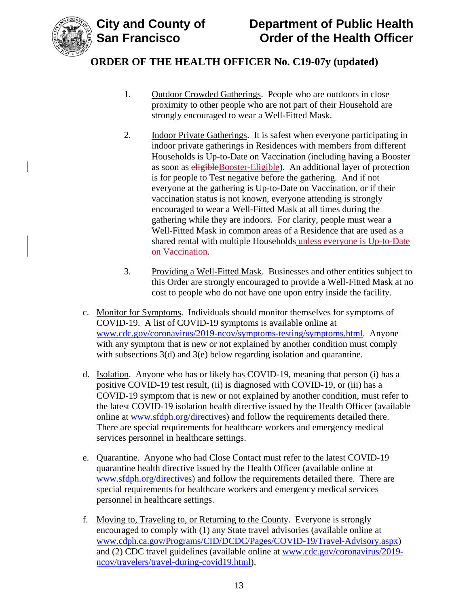

- 1. Outdoor Crowded Gatherings. People who are outdoors in close proximity to other people who are not part of their Household are strongly encouraged to wear a Well-Fitted Mask.
- 2. Indoor Private Gatherings. It is safest when everyone participating in indoor private gatherings in Residences with members from different Households is Up-to-Date on Vaccination (including having a Booster as soon as eligibleBooster-Eligible). An additional layer of protection is for people to Test negative before the gathering. And if not everyone at the gathering is Up-to-Date on Vaccination, or if their vaccination status is not known, everyone attending is strongly encouraged to wear a Well-Fitted Mask at all times during the gathering while they are indoors. For clarity, people must wear a Well-Fitted Mask in common areas of a Residence that are used as a shared rental with multiple Households unless everyone is Up-to-Date on Vaccination.
- 3. Providing a Well-Fitted Mask. Businesses and other entities subject to this Order are strongly encouraged to provide a Well-Fitted Mask at no cost to people who do not have one upon entry inside the facility.
- c. Monitor for Symptoms. Individuals should monitor themselves for symptoms of COVID-19. A list of COVID-19 symptoms is available online at [www.cdc.gov/coronavirus/2019-ncov/symptoms-testing/symptoms.html.](https://www.cdc.gov/coronavirus/2019-ncov/symptoms-testing/symptoms.html) Anyone with any symptom that is new or not explained by another condition must comply with subsections 3(d) and 3(e) below regarding isolation and quarantine.
- d. Isolation. Anyone who has or likely has COVID-19, meaning that person (i) has a positive COVID-19 test result, (ii) is diagnosed with COVID-19, or (iii) has a COVID-19 symptom that is new or not explained by another condition, must refer to the latest COVID-19 isolation health directive issued by the Health Officer (available online at [www.sfdph.org/directives\)](https://www.sfdph.org/directives) and follow the requirements detailed there. There are special requirements for healthcare workers and emergency medical services personnel in healthcare settings.
- e. Quarantine. Anyone who had Close Contact must refer to the latest COVID-19 quarantine health directive issued by the Health Officer (available online at [www.sfdph.org/directives\)](https://www.sfdph.org/directives) and follow the requirements detailed there. There are special requirements for healthcare workers and emergency medical services personnel in healthcare settings.
- f. Moving to, Traveling to, or Returning to the County. Everyone is strongly encouraged to comply with (1) any State travel advisories (available online at [www.cdph.ca.gov/Programs/CID/DCDC/Pages/COVID-19/Travel-Advisory.aspx\)](https://www.cdph.ca.gov/Programs/CID/DCDC/Pages/COVID-19/Travel-Advisory.aspx) and (2) CDC travel guidelines (available online at [www.cdc.gov/coronavirus/2019](https://www.cdc.gov/coronavirus/2019-ncov/travelers/travel-during-covid19.html) [ncov/travelers/travel-during-covid19.html\)](https://www.cdc.gov/coronavirus/2019-ncov/travelers/travel-during-covid19.html).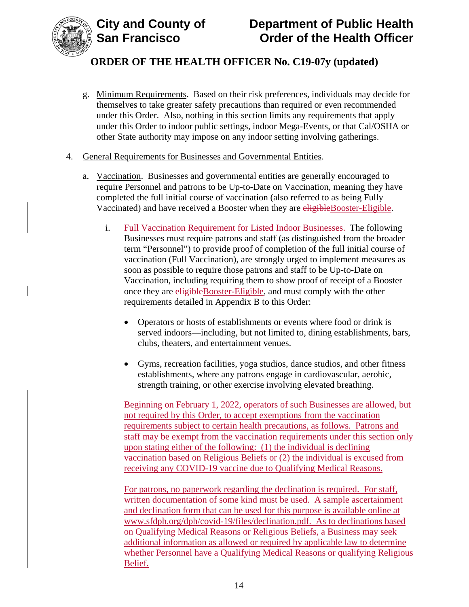



- g. Minimum Requirements. Based on their risk preferences, individuals may decide for themselves to take greater safety precautions than required or even recommended under this Order. Also, nothing in this section limits any requirements that apply under this Order to indoor public settings, indoor Mega-Events, or that Cal/OSHA or other State authority may impose on any indoor setting involving gatherings.
- 4. General Requirements for Businesses and Governmental Entities.
	- a. Vaccination. Businesses and governmental entities are generally encouraged to require Personnel and patrons to be Up-to-Date on Vaccination, meaning they have completed the full initial course of vaccination (also referred to as being Fully Vaccinated) and have received a Booster when they are eligibleBooster-Eligible.
		- i. Full Vaccination Requirement for Listed Indoor Businesses. The following Businesses must require patrons and staff (as distinguished from the broader term "Personnel") to provide proof of completion of the full initial course of vaccination (Full Vaccination), are strongly urged to implement measures as soon as possible to require those patrons and staff to be Up-to-Date on Vaccination, including requiring them to show proof of receipt of a Booster once they are eligibleBooster-Eligible, and must comply with the other requirements detailed in Appendix B to this Order:
			- Operators or hosts of establishments or events where food or drink is served indoors—including, but not limited to, dining establishments, bars, clubs, theaters, and entertainment venues.
			- Gyms, recreation facilities, yoga studios, dance studios, and other fitness establishments, where any patrons engage in cardiovascular, aerobic, strength training, or other exercise involving elevated breathing.

Beginning on February 1, 2022, operators of such Businesses are allowed, but not required by this Order, to accept exemptions from the vaccination requirements subject to certain health precautions, as follows. Patrons and staff may be exempt from the vaccination requirements under this section only upon stating either of the following: (1) the individual is declining vaccination based on Religious Beliefs or (2) the individual is excused from receiving any COVID-19 vaccine due to Qualifying Medical Reasons.

For patrons, no paperwork regarding the declination is required. For staff, written documentation of some kind must be used. A sample ascertainment and declination form that can be used for this purpose is available online at [www.sfdph.org/dph/covid-19/files/declination.pdf.](https://www.sfdph.org/dph/covid-19/files/declination.pdf) As to declinations based on Qualifying Medical Reasons or Religious Beliefs, a Business may seek additional information as allowed or required by applicable law to determine whether Personnel have a Qualifying Medical Reasons or qualifying Religious Belief.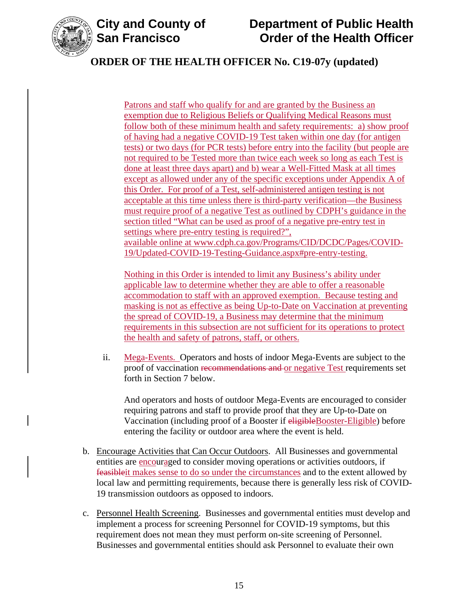

Patrons and staff who qualify for and are granted by the Business an exemption due to Religious Beliefs or Qualifying Medical Reasons must follow both of these minimum health and safety requirements: a) show proof of having had a negative COVID-19 Test taken within one day (for antigen tests) or two days (for PCR tests) before entry into the facility (but people are not required to be Tested more than twice each week so long as each Test is done at least three days apart) and b) wear a Well-Fitted Mask at all times except as allowed under any of the specific exceptions under Appendix A of this Order. For proof of a Test, self-administered antigen testing is not acceptable at this time unless there is third-party verification—the Business must require proof of a negative Test as outlined by CDPH's guidance in the section titled "What can be used as proof of a negative pre-entry test in settings where pre-entry testing is required?", available online at [www.cdph.ca.gov/Programs/CID/DCDC/Pages/COVID-](https://www.cdph.ca.gov/Programs/CID/DCDC/Pages/COVID-19/Updated-COVID-19-Testing-Guidance.aspx#pre-entry-testing)[19/Updated-COVID-19-Testing-Guidance.aspx#pre-entry-testing.](https://www.cdph.ca.gov/Programs/CID/DCDC/Pages/COVID-19/Updated-COVID-19-Testing-Guidance.aspx#pre-entry-testing)

Nothing in this Order is intended to limit any Business's ability under applicable law to determine whether they are able to offer a reasonable accommodation to staff with an approved exemption. Because testing and masking is not as effective as being Up-to-Date on Vaccination at preventing the spread of COVID-19, a Business may determine that the minimum requirements in this subsection are not sufficient for its operations to protect the health and safety of patrons, staff, or others.

ii. Mega-Events. Operators and hosts of indoor Mega-Events are subject to the proof of vaccination recommendations and or negative Test requirements set forth in Section 7 below.

And operators and hosts of outdoor Mega-Events are encouraged to consider requiring patrons and staff to provide proof that they are Up-to-Date on Vaccination (including proof of a Booster if eligibleBooster-Eligible) before entering the facility or outdoor area where the event is held.

- b. Encourage Activities that Can Occur Outdoors. All Businesses and governmental entities are encouraged to consider moving operations or activities outdoors, if feasibleit makes sense to do so under the circumstances and to the extent allowed by local law and permitting requirements, because there is generally less risk of COVID-19 transmission outdoors as opposed to indoors.
- c. Personnel Health Screening. Businesses and governmental entities must develop and implement a process for screening Personnel for COVID-19 symptoms, but this requirement does not mean they must perform on-site screening of Personnel. Businesses and governmental entities should ask Personnel to evaluate their own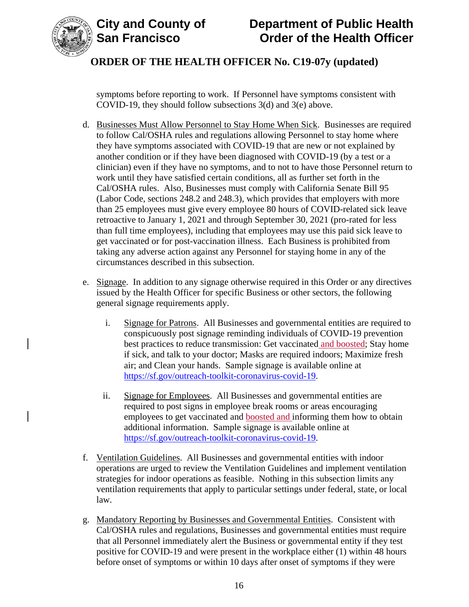



symptoms before reporting to work. If Personnel have symptoms consistent with COVID-19, they should follow subsections 3(d) and 3(e) above.

- d. Businesses Must Allow Personnel to Stay Home When Sick. Businesses are required to follow Cal/OSHA rules and regulations allowing Personnel to stay home where they have symptoms associated with COVID-19 that are new or not explained by another condition or if they have been diagnosed with COVID-19 (by a test or a clinician) even if they have no symptoms, and to not to have those Personnel return to work until they have satisfied certain conditions, all as further set forth in the Cal/OSHA rules. Also, Businesses must comply with California Senate Bill 95 (Labor Code, sections 248.2 and 248.3), which provides that employers with more than 25 employees must give every employee 80 hours of COVID-related sick leave retroactive to January 1, 2021 and through September 30, 2021 (pro-rated for less than full time employees), including that employees may use this paid sick leave to get vaccinated or for post-vaccination illness. Each Business is prohibited from taking any adverse action against any Personnel for staying home in any of the circumstances described in this subsection.
- e. Signage. In addition to any signage otherwise required in this Order or any directives issued by the Health Officer for specific Business or other sectors, the following general signage requirements apply.
	- i. Signage for Patrons. All Businesses and governmental entities are required to conspicuously post signage reminding individuals of COVID-19 prevention best practices to reduce transmission: Get vaccinated and boosted; Stay home if sick, and talk to your doctor; Masks are required indoors; Maximize fresh air; and Clean your hands. Sample signage is available online at [https://sf.gov/outreach-toolkit-coronavirus-covid-19.](https://sf.gov/outreach-toolkit-coronavirus-covid-19)
	- ii. Signage for Employees. All Businesses and governmental entities are required to post signs in employee break rooms or areas encouraging employees to get vaccinated and boosted and informing them how to obtain additional information. Sample signage is available online at [https://sf.gov/outreach-toolkit-coronavirus-covid-19.](https://sf.gov/outreach-toolkit-coronavirus-covid-19)
- f. Ventilation Guidelines. All Businesses and governmental entities with indoor operations are urged to review the Ventilation Guidelines and implement ventilation strategies for indoor operations as feasible. Nothing in this subsection limits any ventilation requirements that apply to particular settings under federal, state, or local law.
- g. Mandatory Reporting by Businesses and Governmental Entities. Consistent with Cal/OSHA rules and regulations, Businesses and governmental entities must require that all Personnel immediately alert the Business or governmental entity if they test positive for COVID-19 and were present in the workplace either (1) within 48 hours before onset of symptoms or within 10 days after onset of symptoms if they were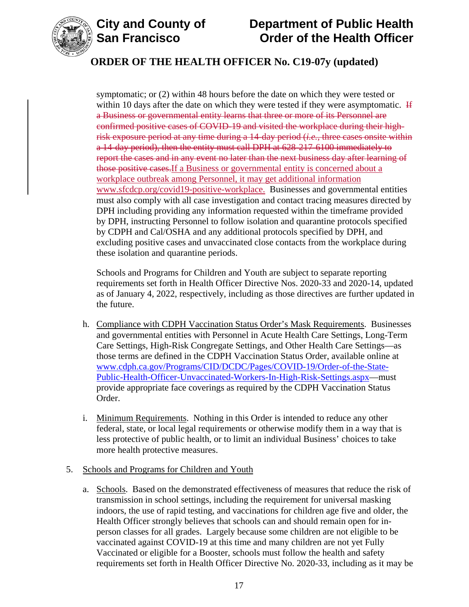

# **City and County of Department of Public Health Order of the Health Officer**

# **ORDER OF THE HEALTH OFFICER No. C19-07y (updated)**

symptomatic; or (2) within 48 hours before the date on which they were tested or within 10 days after the date on which they were tested if they were asymptomatic.  $\overline{H}$ a Business or governmental entity learns that three or more of its Personnel are confirmed positive cases of COVID-19 and visited the workplace during their highrisk exposure period at any time during a 14-day period (*i.e.*, three cases onsite within a 14-day period), then the entity must call DPH at 628-217-6100 immediately to report the cases and in any event no later than the next business day after learning of those positive cases.If a Business or governmental entity is concerned about a workplace outbreak among Personnel, it may get additional information [www.sfcdcp.org/covid19-positive-workplace.](http://www.sfcdcp.org/covid19-positive-workplace) Businesses and governmental entities must also comply with all case investigation and contact tracing measures directed by DPH including providing any information requested within the timeframe provided by DPH, instructing Personnel to follow isolation and quarantine protocols specified by CDPH and Cal/OSHA and any additional protocols specified by DPH, and excluding positive cases and unvaccinated close contacts from the workplace during these isolation and quarantine periods.

Schools and Programs for Children and Youth are subject to separate reporting requirements set forth in Health Officer Directive Nos. 2020-33 and 2020-14, updated as of January 4, 2022, respectively, including as those directives are further updated in the future.

- h. Compliance with CDPH Vaccination Status Order's Mask Requirements. Businesses and governmental entities with Personnel in Acute Health Care Settings, Long-Term Care Settings, High-Risk Congregate Settings, and Other Health Care Settings—as those terms are defined in the CDPH Vaccination Status Order, available online at [www.cdph.ca.gov/Programs/CID/DCDC/Pages/COVID-19/Order-of-the-State-](https://www.cdph.ca.gov/Programs/CID/DCDC/Pages/COVID-19/Order-of-the-State-Public-Health-Officer-Unvaccinated-Workers-In-High-Risk-Settings.aspx)[Public-Health-Officer-Unvaccinated-Workers-In-High-Risk-Settings.aspx—](https://www.cdph.ca.gov/Programs/CID/DCDC/Pages/COVID-19/Order-of-the-State-Public-Health-Officer-Unvaccinated-Workers-In-High-Risk-Settings.aspx)must provide appropriate face coverings as required by the CDPH Vaccination Status Order.
- i. Minimum Requirements. Nothing in this Order is intended to reduce any other federal, state, or local legal requirements or otherwise modify them in a way that is less protective of public health, or to limit an individual Business' choices to take more health protective measures.

## 5. Schools and Programs for Children and Youth

a. Schools. Based on the demonstrated effectiveness of measures that reduce the risk of transmission in school settings, including the requirement for universal masking indoors, the use of rapid testing, and vaccinations for children age five and older, the Health Officer strongly believes that schools can and should remain open for inperson classes for all grades. Largely because some children are not eligible to be vaccinated against COVID-19 at this time and many children are not yet Fully Vaccinated or eligible for a Booster, schools must follow the health and safety requirements set forth in Health Officer Directive No. 2020-33, including as it may be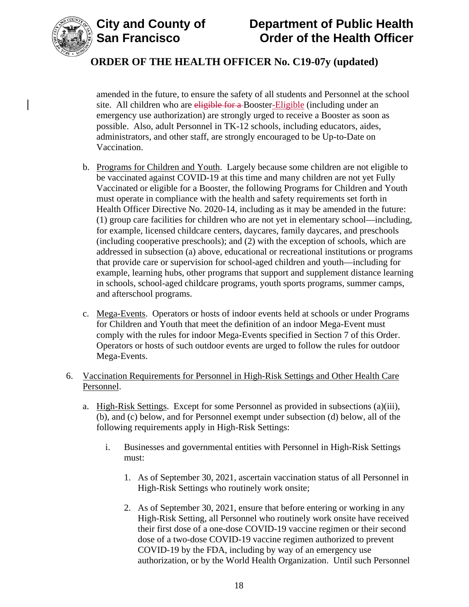



amended in the future, to ensure the safety of all students and Personnel at the school site. All children who are eligible for a Booster-Eligible (including under an emergency use authorization) are strongly urged to receive a Booster as soon as possible. Also, adult Personnel in TK-12 schools, including educators, aides, administrators, and other staff, are strongly encouraged to be Up-to-Date on Vaccination.

- b. Programs for Children and Youth. Largely because some children are not eligible to be vaccinated against COVID-19 at this time and many children are not yet Fully Vaccinated or eligible for a Booster, the following Programs for Children and Youth must operate in compliance with the health and safety requirements set forth in Health Officer Directive No. 2020-14, including as it may be amended in the future: (1) group care facilities for children who are not yet in elementary school—including, for example, licensed childcare centers, daycares, family daycares, and preschools (including cooperative preschools); and (2) with the exception of schools, which are addressed in subsection (a) above, educational or recreational institutions or programs that provide care or supervision for school-aged children and youth—including for example, learning hubs, other programs that support and supplement distance learning in schools, school-aged childcare programs, youth sports programs, summer camps, and afterschool programs.
- c. Mega-Events. Operators or hosts of indoor events held at schools or under Programs for Children and Youth that meet the definition of an indoor Mega-Event must comply with the rules for indoor Mega-Events specified in Section 7 of this Order. Operators or hosts of such outdoor events are urged to follow the rules for outdoor Mega-Events.
- 6. Vaccination Requirements for Personnel in High-Risk Settings and Other Health Care Personnel.
	- a. High-Risk Settings. Except for some Personnel as provided in subsections (a)(iii), (b), and (c) below, and for Personnel exempt under subsection (d) below, all of the following requirements apply in High-Risk Settings:
		- i. Businesses and governmental entities with Personnel in High-Risk Settings must:
			- 1. As of September 30, 2021, ascertain vaccination status of all Personnel in High-Risk Settings who routinely work onsite;
			- 2. As of September 30, 2021, ensure that before entering or working in any High-Risk Setting, all Personnel who routinely work onsite have received their first dose of a one-dose COVID-19 vaccine regimen or their second dose of a two-dose COVID-19 vaccine regimen authorized to prevent COVID-19 by the FDA, including by way of an emergency use authorization, or by the World Health Organization. Until such Personnel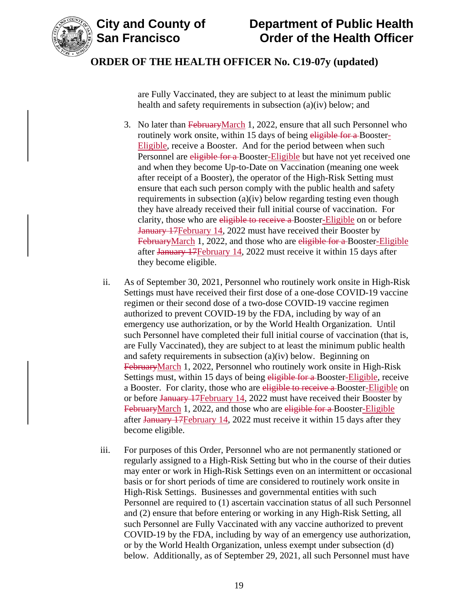

are Fully Vaccinated, they are subject to at least the minimum public health and safety requirements in subsection (a)(iv) below; and

- 3. No later than February March 1, 2022, ensure that all such Personnel who routinely work onsite, within 15 days of being eligible for a Booster-Eligible, receive a Booster. And for the period between when such Personnel are eligible for a Booster-Eligible but have not yet received one and when they become Up-to-Date on Vaccination (meaning one week after receipt of a Booster), the operator of the High-Risk Setting must ensure that each such person comply with the public health and safety requirements in subsection (a)(iv) below regarding testing even though they have already received their full initial course of vaccination. For clarity, those who are eligible to receive a Booster-Eligible on or before January 17February 14, 2022 must have received their Booster by FebruaryMarch 1, 2022, and those who are eligible for a Booster-Eligible after January 17February 14, 2022 must receive it within 15 days after they become eligible.
- ii. As of September 30, 2021, Personnel who routinely work onsite in High-Risk Settings must have received their first dose of a one-dose COVID-19 vaccine regimen or their second dose of a two-dose COVID-19 vaccine regimen authorized to prevent COVID-19 by the FDA, including by way of an emergency use authorization, or by the World Health Organization. Until such Personnel have completed their full initial course of vaccination (that is, are Fully Vaccinated), they are subject to at least the minimum public health and safety requirements in subsection (a)(iv) below. Beginning on FebruaryMarch 1, 2022, Personnel who routinely work onsite in High-Risk Settings must, within 15 days of being eligible for a Booster-Eligible, receive a Booster. For clarity, those who are eligible to receive a Booster-Eligible on or before January 17February 14, 2022 must have received their Booster by FebruaryMarch 1, 2022, and those who are eligible for a Booster-Eligible after January 17February 14, 2022 must receive it within 15 days after they become eligible.
- iii. For purposes of this Order, Personnel who are not permanently stationed or regularly assigned to a High-Risk Setting but who in the course of their duties may enter or work in High-Risk Settings even on an intermittent or occasional basis or for short periods of time are considered to routinely work onsite in High-Risk Settings. Businesses and governmental entities with such Personnel are required to (1) ascertain vaccination status of all such Personnel and (2) ensure that before entering or working in any High-Risk Setting, all such Personnel are Fully Vaccinated with any vaccine authorized to prevent COVID-19 by the FDA, including by way of an emergency use authorization, or by the World Health Organization, unless exempt under subsection (d) below. Additionally, as of September 29, 2021, all such Personnel must have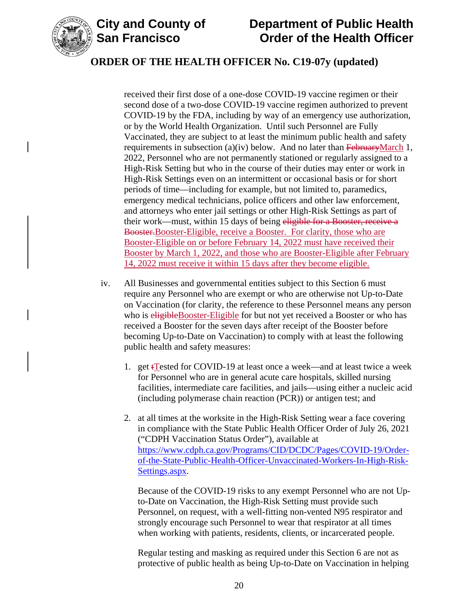

# **City and County of Department of Public Health Order of the Health Officer**

# **ORDER OF THE HEALTH OFFICER No. C19-07y (updated)**

received their first dose of a one-dose COVID-19 vaccine regimen or their second dose of a two-dose COVID-19 vaccine regimen authorized to prevent COVID-19 by the FDA, including by way of an emergency use authorization, or by the World Health Organization. Until such Personnel are Fully Vaccinated, they are subject to at least the minimum public health and safety requirements in subsection (a)(iv) below. And no later than  $F<sub>ebruary</sub>March 1$ , 2022, Personnel who are not permanently stationed or regularly assigned to a High-Risk Setting but who in the course of their duties may enter or work in High-Risk Settings even on an intermittent or occasional basis or for short periods of time—including for example, but not limited to, paramedics, emergency medical technicians, police officers and other law enforcement, and attorneys who enter jail settings or other High-Risk Settings as part of their work—must, within 15 days of being eligible for a Booster, receive a Booster.Booster-Eligible, receive a Booster. For clarity, those who are Booster-Eligible on or before February 14, 2022 must have received their Booster by March 1, 2022, and those who are Booster-Eligible after February 14, 2022 must receive it within 15 days after they become eligible.

- iv. All Businesses and governmental entities subject to this Section 6 must require any Personnel who are exempt or who are otherwise not Up-to-Date on Vaccination (for clarity, the reference to these Personnel means any person who is eligibleBooster-Eligible for but not yet received a Booster or who has received a Booster for the seven days after receipt of the Booster before becoming Up-to-Date on Vaccination) to comply with at least the following public health and safety measures:
	- 1. get  $\frac{1}{\text{Test}}$  for COVID-19 at least once a week—and at least twice a week for Personnel who are in general acute care hospitals, skilled nursing facilities, intermediate care facilities, and jails—using either a nucleic acid (including polymerase chain reaction (PCR)) or antigen test; and
	- 2. at all times at the worksite in the High-Risk Setting wear a face covering in compliance with the State Public Health Officer Order of July 26, 2021 ("CDPH Vaccination Status Order"), available at [https://www.cdph.ca.gov/Programs/CID/DCDC/Pages/COVID-19/Order](https://www.cdph.ca.gov/Programs/CID/DCDC/Pages/COVID-19/Order-of-the-State-Public-Health-Officer-Unvaccinated-Workers-In-High-Risk-Settings.aspx)[of-the-State-Public-Health-Officer-Unvaccinated-Workers-In-High-Risk-](https://www.cdph.ca.gov/Programs/CID/DCDC/Pages/COVID-19/Order-of-the-State-Public-Health-Officer-Unvaccinated-Workers-In-High-Risk-Settings.aspx)[Settings.aspx.](https://www.cdph.ca.gov/Programs/CID/DCDC/Pages/COVID-19/Order-of-the-State-Public-Health-Officer-Unvaccinated-Workers-In-High-Risk-Settings.aspx)

Because of the COVID-19 risks to any exempt Personnel who are not Upto-Date on Vaccination, the High-Risk Setting must provide such Personnel, on request, with a well-fitting non-vented N95 respirator and strongly encourage such Personnel to wear that respirator at all times when working with patients, residents, clients, or incarcerated people.

Regular testing and masking as required under this Section 6 are not as protective of public health as being Up-to-Date on Vaccination in helping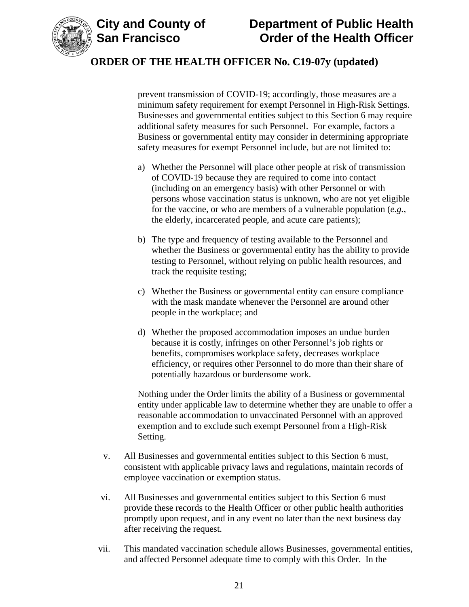

prevent transmission of COVID-19; accordingly, those measures are a minimum safety requirement for exempt Personnel in High-Risk Settings. Businesses and governmental entities subject to this Section 6 may require additional safety measures for such Personnel. For example, factors a Business or governmental entity may consider in determining appropriate safety measures for exempt Personnel include, but are not limited to:

- a) Whether the Personnel will place other people at risk of transmission of COVID-19 because they are required to come into contact (including on an emergency basis) with other Personnel or with persons whose vaccination status is unknown, who are not yet eligible for the vaccine, or who are members of a vulnerable population (*e.g.*, the elderly, incarcerated people, and acute care patients);
- b) The type and frequency of testing available to the Personnel and whether the Business or governmental entity has the ability to provide testing to Personnel, without relying on public health resources, and track the requisite testing;
- c) Whether the Business or governmental entity can ensure compliance with the mask mandate whenever the Personnel are around other people in the workplace; and
- d) Whether the proposed accommodation imposes an undue burden because it is costly, infringes on other Personnel's job rights or benefits, compromises workplace safety, decreases workplace efficiency, or requires other Personnel to do more than their share of potentially hazardous or burdensome work.

Nothing under the Order limits the ability of a Business or governmental entity under applicable law to determine whether they are unable to offer a reasonable accommodation to unvaccinated Personnel with an approved exemption and to exclude such exempt Personnel from a High-Risk Setting.

- v. All Businesses and governmental entities subject to this Section 6 must, consistent with applicable privacy laws and regulations, maintain records of employee vaccination or exemption status.
- vi. All Businesses and governmental entities subject to this Section 6 must provide these records to the Health Officer or other public health authorities promptly upon request, and in any event no later than the next business day after receiving the request.
- vii. This mandated vaccination schedule allows Businesses, governmental entities, and affected Personnel adequate time to comply with this Order. In the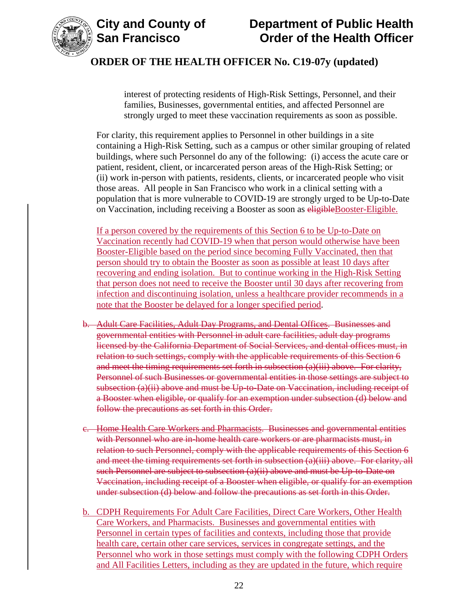

# **City and County of Department of Public Health Order of the Health Officer**

# **ORDER OF THE HEALTH OFFICER No. C19-07y (updated)**

interest of protecting residents of High-Risk Settings, Personnel, and their families, Businesses, governmental entities, and affected Personnel are strongly urged to meet these vaccination requirements as soon as possible.

For clarity, this requirement applies to Personnel in other buildings in a site containing a High-Risk Setting, such as a campus or other similar grouping of related buildings, where such Personnel do any of the following: (i) access the acute care or patient, resident, client, or incarcerated person areas of the High-Risk Setting; or (ii) work in-person with patients, residents, clients, or incarcerated people who visit those areas. All people in San Francisco who work in a clinical setting with a population that is more vulnerable to COVID-19 are strongly urged to be Up-to-Date on Vaccination, including receiving a Booster as soon as eligibleBooster-Eligible.

If a person covered by the requirements of this Section 6 to be Up-to-Date on Vaccination recently had COVID-19 when that person would otherwise have been Booster-Eligible based on the period since becoming Fully Vaccinated, then that person should try to obtain the Booster as soon as possible at least 10 days after recovering and ending isolation. But to continue working in the High-Risk Setting that person does not need to receive the Booster until 30 days after recovering from infection and discontinuing isolation, unless a healthcare provider recommends in a note that the Booster be delayed for a longer specified period.

- b. Adult Care Facilities, Adult Day Programs, and Dental Offices. Businesses and governmental entities with Personnel in adult care facilities, adult day programs licensed by the California Department of Social Services, and dental offices must, in relation to such settings, comply with the applicable requirements of this Section 6 and meet the timing requirements set forth in subsection (a)(iii) above. For clarity, Personnel of such Businesses or governmental entities in those settings are subject to subsection (a)(ii) above and must be Up-to-Date on Vaccination, including receipt of a Booster when eligible, or qualify for an exemption under subsection (d) below and follow the precautions as set forth in this Order.
- c. Home Health Care Workers and Pharmacists. Businesses and governmental entities with Personnel who are in-home health care workers or are pharmacists must, in relation to such Personnel, comply with the applicable requirements of this Section 6 and meet the timing requirements set forth in subsection (a)(iii) above. For clarity, all such Personnel are subject to subsection (a)(ii) above and must be Up-to-Date on Vaccination, including receipt of a Booster when eligible, or qualify for an exemption under subsection (d) below and follow the precautions as set forth in this Order.
- b. CDPH Requirements For Adult Care Facilities, Direct Care Workers, Other Health Care Workers, and Pharmacists. Businesses and governmental entities with Personnel in certain types of facilities and contexts, including those that provide health care, certain other care services, services in congregate settings, and the Personnel who work in those settings must comply with the following CDPH Orders and All Facilities Letters, including as they are updated in the future, which require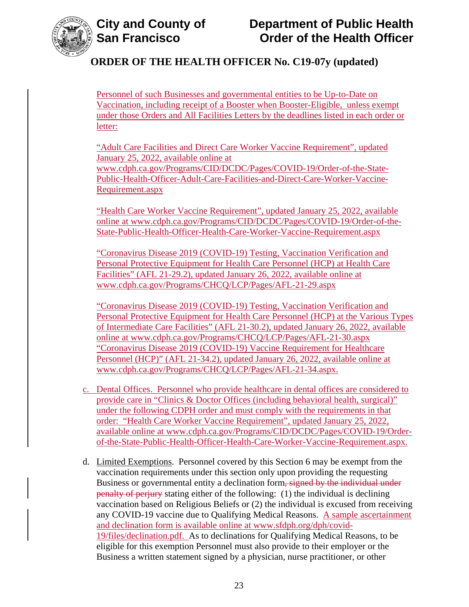

Personnel of such Businesses and governmental entities to be Up-to-Date on Vaccination, including receipt of a Booster when Booster-Eligible, unless exempt under those Orders and All Facilities Letters by the deadlines listed in each order or letter:

"Adult Care Facilities and Direct Care Worker Vaccine Requirement", updated January 25, 2022, available online at [www.cdph.ca.gov/Programs/CID/DCDC/Pages/COVID-19/Order-of-the-State-](https://www.cdph.ca.gov/Programs/CID/DCDC/Pages/COVID-19/Order-of-the-State-Public-Health-Officer-Adult-Care-Facilities-and-Direct-Care-Worker-Vaccine-Requirement.aspx)[Public-Health-Officer-Adult-Care-Facilities-and-Direct-Care-Worker-Vaccine-](https://www.cdph.ca.gov/Programs/CID/DCDC/Pages/COVID-19/Order-of-the-State-Public-Health-Officer-Adult-Care-Facilities-and-Direct-Care-Worker-Vaccine-Requirement.aspx)[Requirement.aspx](https://www.cdph.ca.gov/Programs/CID/DCDC/Pages/COVID-19/Order-of-the-State-Public-Health-Officer-Adult-Care-Facilities-and-Direct-Care-Worker-Vaccine-Requirement.aspx)

"Health Care Worker Vaccine Requirement", updated January 25, 2022, available online at [www.cdph.ca.gov/Programs/CID/DCDC/Pages/COVID-19/Order-of-the-](https://www.cdph.ca.gov/Programs/CID/DCDC/Pages/COVID-19/Order-of-the-State-Public-Health-Officer-Health-Care-Worker-Vaccine-Requirement.aspx)[State-Public-Health-Officer-Health-Care-Worker-Vaccine-Requirement.aspx](https://www.cdph.ca.gov/Programs/CID/DCDC/Pages/COVID-19/Order-of-the-State-Public-Health-Officer-Health-Care-Worker-Vaccine-Requirement.aspx)

"Coronavirus Disease 2019 (COVID-19) Testing, Vaccination Verification and Personal Protective Equipment for Health Care Personnel (HCP) at Health Care Facilities" (AFL 21-29.2), updated January 26, 2022, available online at [www.cdph.ca.gov/Programs/CHCQ/LCP/Pages/AFL-21-29.aspx](https://www.cdph.ca.gov/Programs/CHCQ/LCP/Pages/AFL-21-29.aspx)

"Coronavirus Disease 2019 (COVID-19) Testing, Vaccination Verification and Personal Protective Equipment for Health Care Personnel (HCP) at the Various Types of Intermediate Care Facilities" (AFL 21-30.2), updated January 26, 2022, available online at [www.cdph.ca.gov/Programs/CHCQ/LCP/Pages/AFL-21-30.aspx](https://www.cdph.ca.gov/Programs/CHCQ/LCP/Pages/AFL-21-30.aspx) "Coronavirus Disease 2019 (COVID-19) Vaccine Requirement for Healthcare Personnel (HCP)" (AFL 21-34.2), updated January 26, 2022, available online at [www.cdph.ca.gov/Programs/CHCQ/LCP/Pages/AFL-21-34.aspx.](https://www.cdph.ca.gov/Programs/CHCQ/LCP/Pages/AFL-21-34.aspx)

- c. Dental Offices. Personnel who provide healthcare in dental offices are considered to provide care in "Clinics & Doctor Offices (including behavioral health, surgical)" under the following CDPH order and must comply with the requirements in that order: "Health Care Worker Vaccine Requirement", updated January 25, 2022, available online at [www.cdph.ca.gov/Programs/CID/DCDC/Pages/COVID-19/Order](https://www.cdph.ca.gov/Programs/CID/DCDC/Pages/COVID-19/Order-of-the-State-Public-Health-Officer-Health-Care-Worker-Vaccine-Requirement.aspx)[of-the-State-Public-Health-Officer-Health-Care-Worker-Vaccine-Requirement.aspx.](https://www.cdph.ca.gov/Programs/CID/DCDC/Pages/COVID-19/Order-of-the-State-Public-Health-Officer-Health-Care-Worker-Vaccine-Requirement.aspx)
- d. Limited Exemptions. Personnel covered by this Section 6 may be exempt from the vaccination requirements under this section only upon providing the requesting Business or governmental entity a declination form, signed by the individual under penalty of perjury stating either of the following: (1) the individual is declining vaccination based on Religious Beliefs or (2) the individual is excused from receiving any COVID-19 vaccine due to Qualifying Medical Reasons. A sample ascertainment and declination form is available online at [www.sfdph.org/dph/covid-](https://www.sfdph.org/dph/covid-19/files/declination.pdf)[19/files/declination.pdf.](https://www.sfdph.org/dph/covid-19/files/declination.pdf) As to declinations for Qualifying Medical Reasons, to be eligible for this exemption Personnel must also provide to their employer or the Business a written statement signed by a physician, nurse practitioner, or other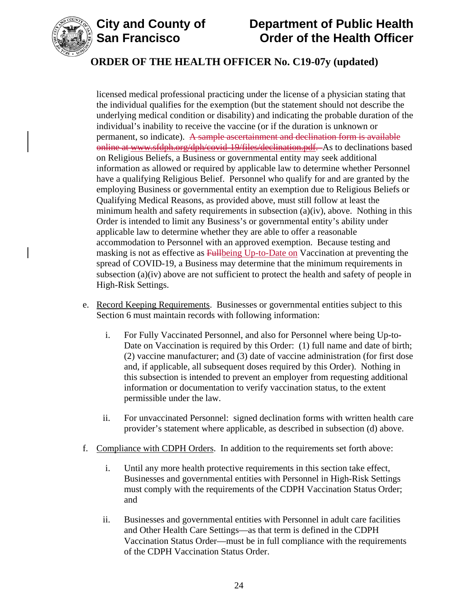

# **City and County of Department of Public Health Order of the Health Officer**

# **ORDER OF THE HEALTH OFFICER No. C19-07y (updated)**

licensed medical professional practicing under the license of a physician stating that the individual qualifies for the exemption (but the statement should not describe the underlying medical condition or disability) and indicating the probable duration of the individual's inability to receive the vaccine (or if the duration is unknown or permanent, so indicate). A sample ascertainment and declination form is available online at www.sfdph.org/dph/covid-19/files/declination.pdf. As to declinations based on Religious Beliefs, a Business or governmental entity may seek additional information as allowed or required by applicable law to determine whether Personnel have a qualifying Religious Belief. Personnel who qualify for and are granted by the employing Business or governmental entity an exemption due to Religious Beliefs or Qualifying Medical Reasons, as provided above, must still follow at least the minimum health and safety requirements in subsection (a)(iv), above. Nothing in this Order is intended to limit any Business's or governmental entity's ability under applicable law to determine whether they are able to offer a reasonable accommodation to Personnel with an approved exemption. Because testing and masking is not as effective as Fullbeing Up-to-Date on Vaccination at preventing the spread of COVID-19, a Business may determine that the minimum requirements in subsection (a)(iv) above are not sufficient to protect the health and safety of people in High-Risk Settings.

- e. Record Keeping Requirements. Businesses or governmental entities subject to this Section 6 must maintain records with following information:
	- i. For Fully Vaccinated Personnel, and also for Personnel where being Up-to-Date on Vaccination is required by this Order: (1) full name and date of birth; (2) vaccine manufacturer; and (3) date of vaccine administration (for first dose and, if applicable, all subsequent doses required by this Order). Nothing in this subsection is intended to prevent an employer from requesting additional information or documentation to verify vaccination status, to the extent permissible under the law.
	- ii. For unvaccinated Personnel: signed declination forms with written health care provider's statement where applicable, as described in subsection (d) above.
- f. Compliance with CDPH Orders. In addition to the requirements set forth above:
	- i. Until any more health protective requirements in this section take effect, Businesses and governmental entities with Personnel in High-Risk Settings must comply with the requirements of the CDPH Vaccination Status Order; and
	- ii. Businesses and governmental entities with Personnel in adult care facilities and Other Health Care Settings—as that term is defined in the CDPH Vaccination Status Order—must be in full compliance with the requirements of the CDPH Vaccination Status Order.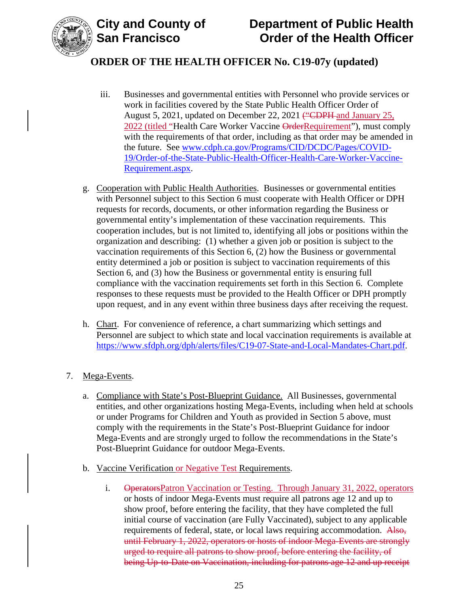



- iii. Businesses and governmental entities with Personnel who provide services or work in facilities covered by the State Public Health Officer Order of August 5, 2021, updated on December 22, 2021 ("CDPH and January 25, 2022 (titled "Health Care Worker Vaccine OrderRequirement"), must comply with the requirements of that order, including as that order may be amended in the future. See [www.cdph.ca.gov/Programs/CID/DCDC/Pages/COVID-](https://www.cdph.ca.gov/Programs/CID/DCDC/Pages/COVID-19/Order-of-the-State-Public-Health-Officer-Health-Care-Worker-Vaccine-Requirement.aspx)[19/Order-of-the-State-Public-Health-Officer-Health-Care-Worker-Vaccine-](https://www.cdph.ca.gov/Programs/CID/DCDC/Pages/COVID-19/Order-of-the-State-Public-Health-Officer-Health-Care-Worker-Vaccine-Requirement.aspx)[Requirement.aspx.](https://www.cdph.ca.gov/Programs/CID/DCDC/Pages/COVID-19/Order-of-the-State-Public-Health-Officer-Health-Care-Worker-Vaccine-Requirement.aspx)
- g. Cooperation with Public Health Authorities. Businesses or governmental entities with Personnel subject to this Section 6 must cooperate with Health Officer or DPH requests for records, documents, or other information regarding the Business or governmental entity's implementation of these vaccination requirements. This cooperation includes, but is not limited to, identifying all jobs or positions within the organization and describing: (1) whether a given job or position is subject to the vaccination requirements of this Section 6, (2) how the Business or governmental entity determined a job or position is subject to vaccination requirements of this Section 6, and (3) how the Business or governmental entity is ensuring full compliance with the vaccination requirements set forth in this Section 6. Complete responses to these requests must be provided to the Health Officer or DPH promptly upon request, and in any event within three business days after receiving the request.
- h. Chart. For convenience of reference, a chart summarizing which settings and Personnel are subject to which state and local vaccination requirements is available at [https://www.sfdph.org/dph/alerts/files/C19-07-State-and-Local-Mandates-Chart.pdf.](https://www.sfdph.org/dph/alerts/files/C19-07-State-and-Local-Mandates-Chart.pdf)

## 7. Mega-Events.

- a. Compliance with State's Post-Blueprint Guidance. All Businesses, governmental entities, and other organizations hosting Mega-Events, including when held at schools or under Programs for Children and Youth as provided in Section 5 above, must comply with the requirements in the State's Post-Blueprint Guidance for indoor Mega-Events and are strongly urged to follow the recommendations in the State's Post-Blueprint Guidance for outdoor Mega-Events.
- b. Vaccine Verification or Negative Test Requirements.
	- i. Operators Patron Vaccination or Testing. Through January 31, 2022, operators or hosts of indoor Mega-Events must require all patrons age 12 and up to show proof, before entering the facility, that they have completed the full initial course of vaccination (are Fully Vaccinated), subject to any applicable requirements of federal, state, or local laws requiring accommodation. Also, until February 1, 2022, operators or hosts of indoor Mega-Events are strongly urged to require all patrons to show proof, before entering the facility, of being Up-to-Date on Vaccination, including for patrons age 12 and up receipt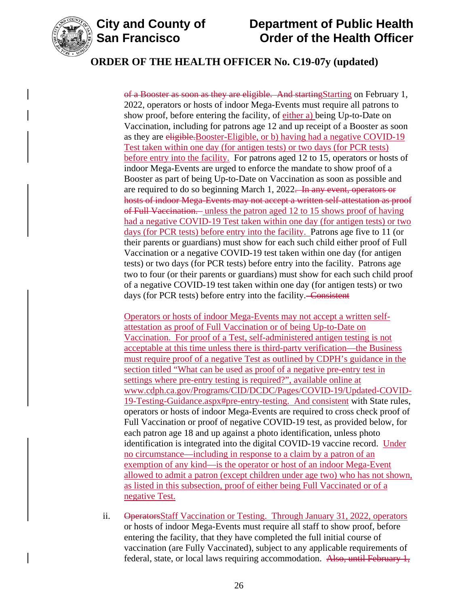



of a Booster as soon as they are eligible. And startingStarting on February 1, 2022, operators or hosts of indoor Mega-Events must require all patrons to show proof, before entering the facility, of either a) being Up-to-Date on Vaccination, including for patrons age 12 and up receipt of a Booster as soon as they are eligible.Booster-Eligible, or b) having had a negative COVID-19 Test taken within one day (for antigen tests) or two days (for PCR tests) before entry into the facility. For patrons aged 12 to 15, operators or hosts of indoor Mega-Events are urged to enforce the mandate to show proof of a Booster as part of being Up-to-Date on Vaccination as soon as possible and are required to do so beginning March 1, 2022. In any event, operators or hosts of indoor Mega-Events may not accept a written self-attestation as proof of Full Vaccination. unless the patron aged 12 to 15 shows proof of having had a negative COVID-19 Test taken within one day (for antigen tests) or two days (for PCR tests) before entry into the facility. Patrons age five to 11 (or their parents or guardians) must show for each such child either proof of Full Vaccination or a negative COVID-19 test taken within one day (for antigen tests) or two days (for PCR tests) before entry into the facility. Patrons age two to four (or their parents or guardians) must show for each such child proof of a negative COVID-19 test taken within one day (for antigen tests) or two days (for PCR tests) before entry into the facility. Consistent

Operators or hosts of indoor Mega-Events may not accept a written selfattestation as proof of Full Vaccination or of being Up-to-Date on Vaccination. For proof of a Test, self-administered antigen testing is not acceptable at this time unless there is third-party verification—the Business must require proof of a negative Test as outlined by CDPH's guidance in the section titled "What can be used as proof of a negative pre-entry test in settings where pre-entry testing is required?", available online at [www.cdph.ca.gov/Programs/CID/DCDC/Pages/COVID-19/Updated-COVID-](https://www.cdph.ca.gov/Programs/CID/DCDC/Pages/COVID-19/Updated-COVID-19-Testing-Guidance.aspx#pre-entry-testing)[19-Testing-Guidance.aspx#pre-entry-testing.](https://www.cdph.ca.gov/Programs/CID/DCDC/Pages/COVID-19/Updated-COVID-19-Testing-Guidance.aspx#pre-entry-testing) And consistent with State rules, operators or hosts of indoor Mega-Events are required to cross check proof of Full Vaccination or proof of negative COVID-19 test, as provided below, for each patron age 18 and up against a photo identification, unless photo identification is integrated into the digital COVID-19 vaccine record. Under no circumstance—including in response to a claim by a patron of an exemption of any kind—is the operator or host of an indoor Mega-Event allowed to admit a patron (except children under age two) who has not shown, as listed in this subsection, proof of either being Full Vaccinated or of a negative Test.

ii. OperatorsStaff Vaccination or Testing. Through January 31, 2022, operators or hosts of indoor Mega-Events must require all staff to show proof, before entering the facility, that they have completed the full initial course of vaccination (are Fully Vaccinated), subject to any applicable requirements of federal, state, or local laws requiring accommodation. Also, until February 1,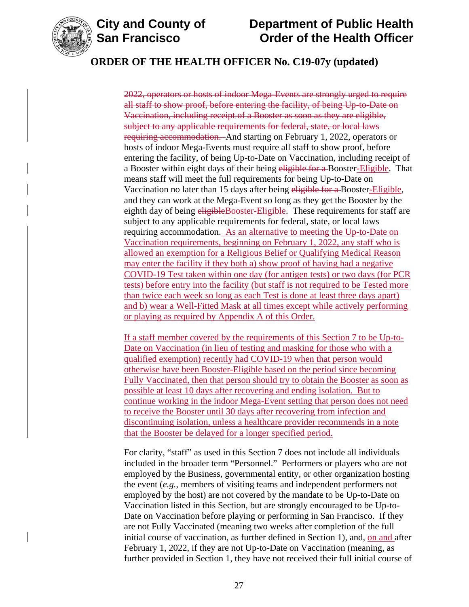

2022, operators or hosts of indoor Mega-Events are strongly urged to require all staff to show proof, before entering the facility, of being Up-to-Date on Vaccination, including receipt of a Booster as soon as they are eligible, subject to any applicable requirements for federal, state, or local laws requiring accommodation. And starting on February 1, 2022, operators or hosts of indoor Mega-Events must require all staff to show proof, before entering the facility, of being Up-to-Date on Vaccination, including receipt of a Booster within eight days of their being eligible for a Booster-Eligible. That means staff will meet the full requirements for being Up-to-Date on Vaccination no later than 15 days after being eligible for a Booster-Eligible, and they can work at the Mega-Event so long as they get the Booster by the eighth day of being eligible Booster-Eligible. These requirements for staff are subject to any applicable requirements for federal, state, or local laws requiring accommodation. As an alternative to meeting the Up-to-Date on Vaccination requirements, beginning on February 1, 2022, any staff who is allowed an exemption for a Religious Belief or Qualifying Medical Reason may enter the facility if they both a) show proof of having had a negative COVID-19 Test taken within one day (for antigen tests) or two days (for PCR tests) before entry into the facility (but staff is not required to be Tested more than twice each week so long as each Test is done at least three days apart) and b) wear a Well-Fitted Mask at all times except while actively performing or playing as required by Appendix A of this Order.

If a staff member covered by the requirements of this Section 7 to be Up-to-Date on Vaccination (in lieu of testing and masking for those who with a qualified exemption) recently had COVID-19 when that person would otherwise have been Booster-Eligible based on the period since becoming Fully Vaccinated, then that person should try to obtain the Booster as soon as possible at least 10 days after recovering and ending isolation. But to continue working in the indoor Mega-Event setting that person does not need to receive the Booster until 30 days after recovering from infection and discontinuing isolation, unless a healthcare provider recommends in a note that the Booster be delayed for a longer specified period.

For clarity, "staff" as used in this Section 7 does not include all individuals included in the broader term "Personnel." Performers or players who are not employed by the Business, governmental entity, or other organization hosting the event (*e.g.*, members of visiting teams and independent performers not employed by the host) are not covered by the mandate to be Up-to-Date on Vaccination listed in this Section, but are strongly encouraged to be Up-to-Date on Vaccination before playing or performing in San Francisco. If they are not Fully Vaccinated (meaning two weeks after completion of the full initial course of vaccination, as further defined in Section 1), and, on and after February 1, 2022, if they are not Up-to-Date on Vaccination (meaning, as further provided in Section 1, they have not received their full initial course of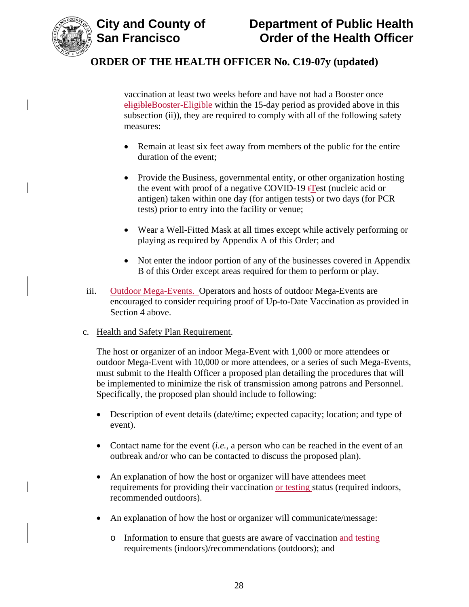

vaccination at least two weeks before and have not had a Booster once eligibleBooster-Eligible within the 15-day period as provided above in this subsection (ii)), they are required to comply with all of the following safety measures:

- Remain at least six feet away from members of the public for the entire duration of the event;
- Provide the Business, governmental entity, or other organization hosting the event with proof of a negative COVID-19  $tTest$  (nucleic acid or antigen) taken within one day (for antigen tests) or two days (for PCR tests) prior to entry into the facility or venue;
- Wear a Well-Fitted Mask at all times except while actively performing or playing as required by Appendix A of this Order; and
- Not enter the indoor portion of any of the businesses covered in Appendix B of this Order except areas required for them to perform or play.
- iii. Outdoor Mega-Events. Operators and hosts of outdoor Mega-Events are encouraged to consider requiring proof of Up-to-Date Vaccination as provided in Section 4 above.
- c. Health and Safety Plan Requirement.

The host or organizer of an indoor Mega-Event with 1,000 or more attendees or outdoor Mega-Event with 10,000 or more attendees, or a series of such Mega-Events, must submit to the Health Officer a proposed plan detailing the procedures that will be implemented to minimize the risk of transmission among patrons and Personnel. Specifically, the proposed plan should include to following:

- Description of event details (date/time; expected capacity; location; and type of event).
- Contact name for the event (*i.e.*, a person who can be reached in the event of an outbreak and/or who can be contacted to discuss the proposed plan).
- An explanation of how the host or organizer will have attendees meet requirements for providing their vaccination or testing status (required indoors, recommended outdoors).
- An explanation of how the host or organizer will communicate/message:
	- o Information to ensure that guests are aware of vaccination and testing requirements (indoors)/recommendations (outdoors); and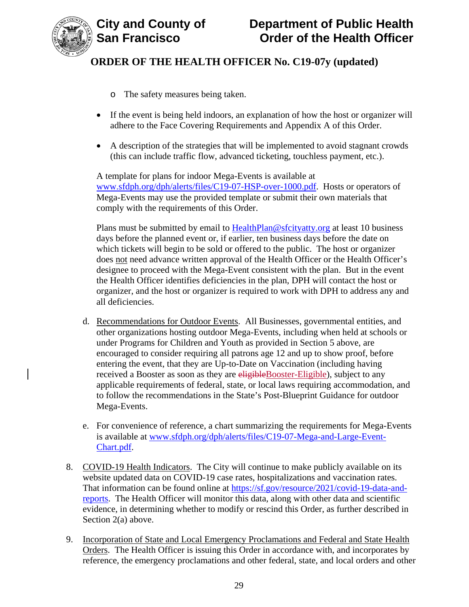

- o The safety measures being taken.
- If the event is being held indoors, an explanation of how the host or organizer will adhere to the Face Covering Requirements and Appendix A of this Order.
- A description of the strategies that will be implemented to avoid stagnant crowds (this can include traffic flow, advanced ticketing, touchless payment, etc.).

A template for plans for indoor Mega-Events is available at [www.sfdph.org/dph/alerts/files/C19-07-HSP-over-1000.pdf.](https://www.sfdph.org/dph/alerts/files/C19-07-HSP-over-1000.pdf) Hosts or operators of Mega-Events may use the provided template or submit their own materials that comply with the requirements of this Order.

Plans must be submitted by email to [HealthPlan@sfcityatty.org](mailto:HealthPlan@sfcityatty.org) at least 10 business days before the planned event or, if earlier, ten business days before the date on which tickets will begin to be sold or offered to the public. The host or organizer does not need advance written approval of the Health Officer or the Health Officer's designee to proceed with the Mega-Event consistent with the plan. But in the event the Health Officer identifies deficiencies in the plan, DPH will contact the host or organizer, and the host or organizer is required to work with DPH to address any and all deficiencies.

- d. Recommendations for Outdoor Events. All Businesses, governmental entities, and other organizations hosting outdoor Mega-Events, including when held at schools or under Programs for Children and Youth as provided in Section 5 above, are encouraged to consider requiring all patrons age 12 and up to show proof, before entering the event, that they are Up-to-Date on Vaccination (including having received a Booster as soon as they are eligible Booster-Eligible), subject to any applicable requirements of federal, state, or local laws requiring accommodation, and to follow the recommendations in the State's Post-Blueprint Guidance for outdoor Mega-Events.
- e. For convenience of reference, a chart summarizing the requirements for Mega-Events is available at [www.sfdph.org/dph/alerts/files/C19-07-Mega-and-Large-Event-](https://www.sfdph.org/dph/alerts/files/C19-07-Mega-and-Large-Event-Chart.pdf)[Chart.pdf.](https://www.sfdph.org/dph/alerts/files/C19-07-Mega-and-Large-Event-Chart.pdf)
- 8. COVID-19 Health Indicators. The City will continue to make publicly available on its website updated data on COVID-19 case rates, hospitalizations and vaccination rates. That information can be found online at [https://sf.gov/resource/2021/covid-19-data-and](https://sf.gov/resource/2021/covid-19-data-and-reports)[reports.](https://sf.gov/resource/2021/covid-19-data-and-reports) The Health Officer will monitor this data, along with other data and scientific evidence, in determining whether to modify or rescind this Order, as further described in Section 2(a) above.
- 9. Incorporation of State and Local Emergency Proclamations and Federal and State Health Orders. The Health Officer is issuing this Order in accordance with, and incorporates by reference, the emergency proclamations and other federal, state, and local orders and other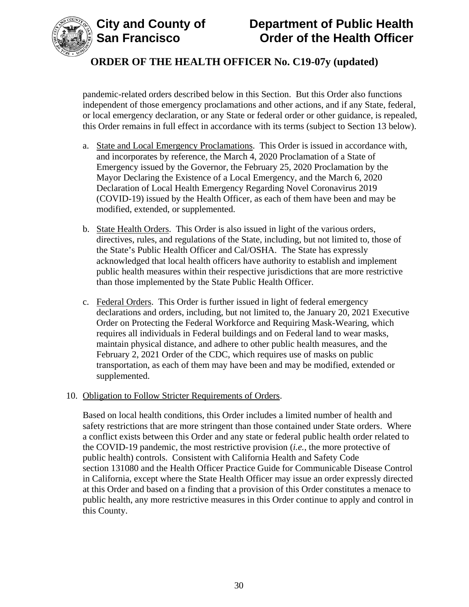

pandemic-related orders described below in this Section. But this Order also functions independent of those emergency proclamations and other actions, and if any State, federal, or local emergency declaration, or any State or federal order or other guidance, is repealed, this Order remains in full effect in accordance with its terms (subject to Section 13 below).

- a. State and Local Emergency Proclamations. This Order is issued in accordance with, and incorporates by reference, the March 4, 2020 Proclamation of a State of Emergency issued by the Governor, the February 25, 2020 Proclamation by the Mayor Declaring the Existence of a Local Emergency, and the March 6, 2020 Declaration of Local Health Emergency Regarding Novel Coronavirus 2019 (COVID-19) issued by the Health Officer, as each of them have been and may be modified, extended, or supplemented.
- b. State Health Orders. This Order is also issued in light of the various orders, directives, rules, and regulations of the State, including, but not limited to, those of the State's Public Health Officer and Cal/OSHA. The State has expressly acknowledged that local health officers have authority to establish and implement public health measures within their respective jurisdictions that are more restrictive than those implemented by the State Public Health Officer.
- c. Federal Orders. This Order is further issued in light of federal emergency declarations and orders, including, but not limited to, the January 20, 2021 Executive Order on Protecting the Federal Workforce and Requiring Mask-Wearing, which requires all individuals in Federal buildings and on Federal land to wear masks, maintain physical distance, and adhere to other public health measures, and the February 2, 2021 Order of the CDC, which requires use of masks on public transportation, as each of them may have been and may be modified, extended or supplemented.

## 10. Obligation to Follow Stricter Requirements of Orders.

Based on local health conditions, this Order includes a limited number of health and safety restrictions that are more stringent than those contained under State orders. Where a conflict exists between this Order and any state or federal public health order related to the COVID-19 pandemic, the most restrictive provision (*i.e.*, the more protective of public health) controls. Consistent with California Health and Safety Code section 131080 and the Health Officer Practice Guide for Communicable Disease Control in California, except where the State Health Officer may issue an order expressly directed at this Order and based on a finding that a provision of this Order constitutes a menace to public health, any more restrictive measures in this Order continue to apply and control in this County.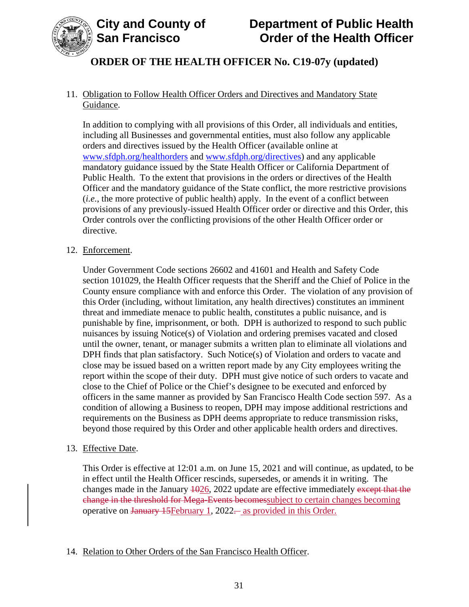

## 11. Obligation to Follow Health Officer Orders and Directives and Mandatory State Guidance.

In addition to complying with all provisions of this Order, all individuals and entities, including all Businesses and governmental entities, must also follow any applicable orders and directives issued by the Health Officer (available online at [www.sfdph.org/healthorders](http://www.sfdph.org/healthorders) and [www.sfdph.org/directives\)](https://www.sfdph.org/directives) and any applicable mandatory guidance issued by the State Health Officer or California Department of Public Health. To the extent that provisions in the orders or directives of the Health Officer and the mandatory guidance of the State conflict, the more restrictive provisions (*i.e.*, the more protective of public health) apply. In the event of a conflict between provisions of any previously-issued Health Officer order or directive and this Order, this Order controls over the conflicting provisions of the other Health Officer order or directive.

#### 12. Enforcement.

Under Government Code sections 26602 and 41601 and Health and Safety Code section 101029, the Health Officer requests that the Sheriff and the Chief of Police in the County ensure compliance with and enforce this Order. The violation of any provision of this Order (including, without limitation, any health directives) constitutes an imminent threat and immediate menace to public health, constitutes a public nuisance, and is punishable by fine, imprisonment, or both. DPH is authorized to respond to such public nuisances by issuing Notice(s) of Violation and ordering premises vacated and closed until the owner, tenant, or manager submits a written plan to eliminate all violations and DPH finds that plan satisfactory. Such Notice(s) of Violation and orders to vacate and close may be issued based on a written report made by any City employees writing the report within the scope of their duty. DPH must give notice of such orders to vacate and close to the Chief of Police or the Chief's designee to be executed and enforced by officers in the same manner as provided by San Francisco Health Code section 597. As a condition of allowing a Business to reopen, DPH may impose additional restrictions and requirements on the Business as DPH deems appropriate to reduce transmission risks, beyond those required by this Order and other applicable health orders and directives.

#### 13. Effective Date.

This Order is effective at 12:01 a.m. on June 15, 2021 and will continue, as updated, to be in effect until the Health Officer rescinds, supersedes, or amends it in writing. The changes made in the January  $\frac{1026}{1022}$  update are effective immediately except that the change in the threshold for Mega-Events becomessubject to certain changes becoming operative on January 15 February 1, 2022— as provided in this Order.

## 14. Relation to Other Orders of the San Francisco Health Officer.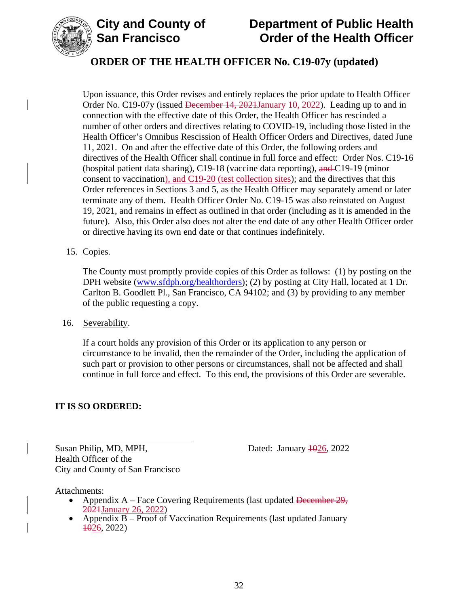



Upon issuance, this Order revises and entirely replaces the prior update to Health Officer Order No. C19-07y (issued <del>December 14, 2021January 10, 2022</del>). Leading up to and in connection with the effective date of this Order, the Health Officer has rescinded a number of other orders and directives relating to COVID-19, including those listed in the Health Officer's Omnibus Rescission of Health Officer Orders and Directives, dated June 11, 2021. On and after the effective date of this Order, the following orders and directives of the Health Officer shall continue in full force and effect: Order Nos. C19-16 (hospital patient data sharing), C19-18 (vaccine data reporting), and C19-19 (minor consent to vaccination), and C19-20 (test collection sites); and the directives that this Order references in Sections 3 and 5, as the Health Officer may separately amend or later terminate any of them. Health Officer Order No. C19-15 was also reinstated on August 19, 2021, and remains in effect as outlined in that order (including as it is amended in the future). Also, this Order also does not alter the end date of any other Health Officer order or directive having its own end date or that continues indefinitely.

#### 15. Copies.

The County must promptly provide copies of this Order as follows: (1) by posting on the DPH website [\(www.sfdph.org/healthorders\)](https://www.sfdph.org/healthorders); (2) by posting at City Hall, located at 1 Dr. Carlton B. Goodlett Pl., San Francisco, CA 94102; and (3) by providing to any member of the public requesting a copy.

#### 16. Severability.

If a court holds any provision of this Order or its application to any person or circumstance to be invalid, then the remainder of the Order, including the application of such part or provision to other persons or circumstances, shall not be affected and shall continue in full force and effect. To this end, the provisions of this Order are severable.

#### **IT IS SO ORDERED:**

Susan Philip, MD, MPH, Dated: January 4026, 2022 Health Officer of the City and County of San Francisco

Attachments:

- Appendix A Face Covering Requirements (last updated December 29, 2021January 26, 2022)
- Appendix  $\overline{B}$  Proof of Vaccination Requirements (last updated January  $\pm 0.2022$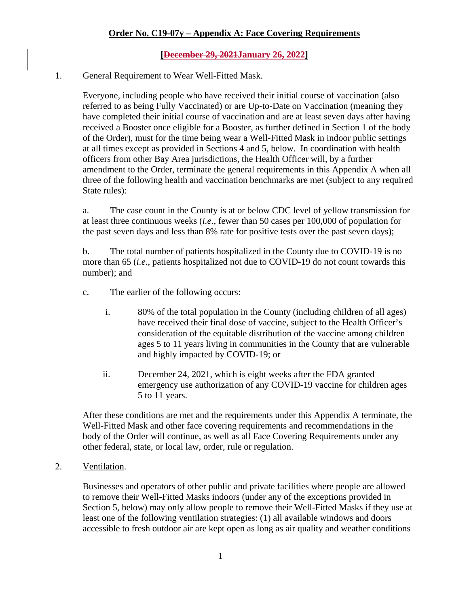## **[December 29, 2021January 26, 2022]**

#### 1. General Requirement to Wear Well-Fitted Mask.

Everyone, including people who have received their initial course of vaccination (also referred to as being Fully Vaccinated) or are Up-to-Date on Vaccination (meaning they have completed their initial course of vaccination and are at least seven days after having received a Booster once eligible for a Booster, as further defined in Section 1 of the body of the Order), must for the time being wear a Well-Fitted Mask in indoor public settings at all times except as provided in Sections 4 and 5, below. In coordination with health officers from other Bay Area jurisdictions, the Health Officer will, by a further amendment to the Order, terminate the general requirements in this Appendix A when all three of the following health and vaccination benchmarks are met (subject to any required State rules):

a. The case count in the County is at or below CDC level of yellow transmission for at least three continuous weeks (*i.e.*, fewer than 50 cases per 100,000 of population for the past seven days and less than 8% rate for positive tests over the past seven days);

b. The total number of patients hospitalized in the County due to COVID-19 is no more than 65 (*i.e.*, patients hospitalized not due to COVID-19 do not count towards this number); and

- c. The earlier of the following occurs:
	- i. 80% of the total population in the County (including children of all ages) have received their final dose of vaccine, subject to the Health Officer's consideration of the equitable distribution of the vaccine among children ages 5 to 11 years living in communities in the County that are vulnerable and highly impacted by COVID-19; or
	- ii. December 24, 2021, which is eight weeks after the FDA granted emergency use authorization of any COVID-19 vaccine for children ages 5 to 11 years.

After these conditions are met and the requirements under this Appendix A terminate, the Well-Fitted Mask and other face covering requirements and recommendations in the body of the Order will continue, as well as all Face Covering Requirements under any other federal, state, or local law, order, rule or regulation.

#### 2. Ventilation.

Businesses and operators of other public and private facilities where people are allowed to remove their Well-Fitted Masks indoors (under any of the exceptions provided in Section 5, below) may only allow people to remove their Well-Fitted Masks if they use at least one of the following ventilation strategies: (1) all available windows and doors accessible to fresh outdoor air are kept open as long as air quality and weather conditions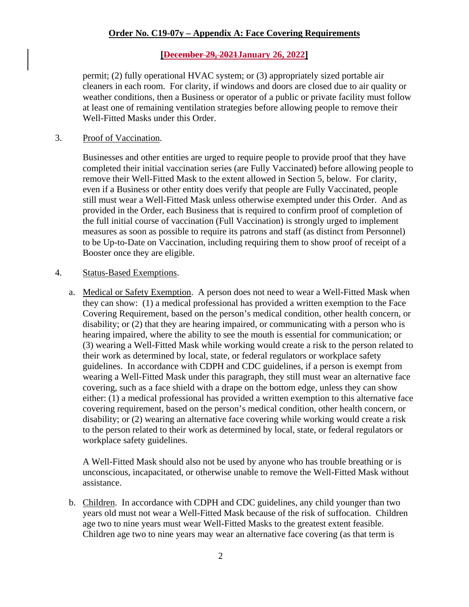### **[December 29, 2021January 26, 2022]**

permit; (2) fully operational HVAC system; or (3) appropriately sized portable air cleaners in each room. For clarity, if windows and doors are closed due to air quality or weather conditions, then a Business or operator of a public or private facility must follow at least one of remaining ventilation strategies before allowing people to remove their Well-Fitted Masks under this Order.

#### 3. Proof of Vaccination.

Businesses and other entities are urged to require people to provide proof that they have completed their initial vaccination series (are Fully Vaccinated) before allowing people to remove their Well-Fitted Mask to the extent allowed in Section 5, below. For clarity, even if a Business or other entity does verify that people are Fully Vaccinated, people still must wear a Well-Fitted Mask unless otherwise exempted under this Order. And as provided in the Order, each Business that is required to confirm proof of completion of the full initial course of vaccination (Full Vaccination) is strongly urged to implement measures as soon as possible to require its patrons and staff (as distinct from Personnel) to be Up-to-Date on Vaccination, including requiring them to show proof of receipt of a Booster once they are eligible.

#### 4. Status-Based Exemptions.

a. Medical or Safety Exemption. A person does not need to wear a Well-Fitted Mask when they can show: (1) a medical professional has provided a written exemption to the Face Covering Requirement, based on the person's medical condition, other health concern, or disability; or (2) that they are hearing impaired, or communicating with a person who is hearing impaired, where the ability to see the mouth is essential for communication; or (3) wearing a Well-Fitted Mask while working would create a risk to the person related to their work as determined by local, state, or federal regulators or workplace safety guidelines. In accordance with CDPH and CDC guidelines, if a person is exempt from wearing a Well-Fitted Mask under this paragraph, they still must wear an alternative face covering, such as a face shield with a drape on the bottom edge, unless they can show either: (1) a medical professional has provided a written exemption to this alternative face covering requirement, based on the person's medical condition, other health concern, or disability; or (2) wearing an alternative face covering while working would create a risk to the person related to their work as determined by local, state, or federal regulators or workplace safety guidelines.

A Well-Fitted Mask should also not be used by anyone who has trouble breathing or is unconscious, incapacitated, or otherwise unable to remove the Well-Fitted Mask without assistance.

b. Children. In accordance with CDPH and CDC guidelines, any child younger than two years old must not wear a Well-Fitted Mask because of the risk of suffocation. Children age two to nine years must wear Well-Fitted Masks to the greatest extent feasible. Children age two to nine years may wear an alternative face covering (as that term is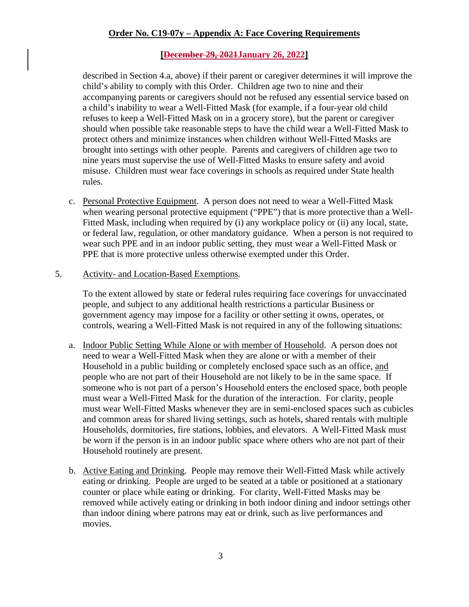### **[December 29, 2021January 26, 2022]**

described in Section 4.a, above) if their parent or caregiver determines it will improve the child's ability to comply with this Order. Children age two to nine and their accompanying parents or caregivers should not be refused any essential service based on a child's inability to wear a Well-Fitted Mask (for example, if a four-year old child refuses to keep a Well-Fitted Mask on in a grocery store), but the parent or caregiver should when possible take reasonable steps to have the child wear a Well-Fitted Mask to protect others and minimize instances when children without Well-Fitted Masks are brought into settings with other people. Parents and caregivers of children age two to nine years must supervise the use of Well-Fitted Masks to ensure safety and avoid misuse. Children must wear face coverings in schools as required under State health rules.

- c. Personal Protective Equipment. A person does not need to wear a Well-Fitted Mask when wearing personal protective equipment ("PPE") that is more protective than a Well-Fitted Mask, including when required by (i) any workplace policy or (ii) any local, state, or federal law, regulation, or other mandatory guidance. When a person is not required to wear such PPE and in an indoor public setting, they must wear a Well-Fitted Mask or PPE that is more protective unless otherwise exempted under this Order.
- 5. Activity- and Location-Based Exemptions.

To the extent allowed by state or federal rules requiring face coverings for unvaccinated people, and subject to any additional health restrictions a particular Business or government agency may impose for a facility or other setting it owns, operates, or controls, wearing a Well-Fitted Mask is not required in any of the following situations:

- a. Indoor Public Setting While Alone or with member of Household. A person does not need to wear a Well-Fitted Mask when they are alone or with a member of their Household in a public building or completely enclosed space such as an office, and people who are not part of their Household are not likely to be in the same space. If someone who is not part of a person's Household enters the enclosed space, both people must wear a Well-Fitted Mask for the duration of the interaction. For clarity, people must wear Well-Fitted Masks whenever they are in semi-enclosed spaces such as cubicles and common areas for shared living settings, such as hotels, shared rentals with multiple Households, dormitories, fire stations, lobbies, and elevators. A Well-Fitted Mask must be worn if the person is in an indoor public space where others who are not part of their Household routinely are present.
- b. Active Eating and Drinking. People may remove their Well-Fitted Mask while actively eating or drinking. People are urged to be seated at a table or positioned at a stationary counter or place while eating or drinking. For clarity, Well-Fitted Masks may be removed while actively eating or drinking in both indoor dining and indoor settings other than indoor dining where patrons may eat or drink, such as live performances and movies.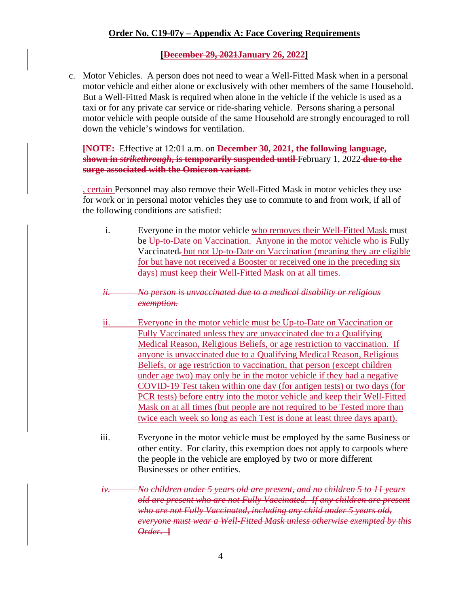#### **[December 29, 2021January 26, 2022]**

c. Motor Vehicles. A person does not need to wear a Well-Fitted Mask when in a personal motor vehicle and either alone or exclusively with other members of the same Household. But a Well-Fitted Mask is required when alone in the vehicle if the vehicle is used as a taxi or for any private car service or ride-sharing vehicle. Persons sharing a personal motor vehicle with people outside of the same Household are strongly encouraged to roll down the vehicle's windows for ventilation.

**[NOTE:** Effective at 12:01 a.m. on **December 30, 2021, the following language, shown in** *strikethrough***, is temporarily suspended until** February 1, 2022 **due to the surge associated with the Omicron variant**.

, certain Personnel may also remove their Well-Fitted Mask in motor vehicles they use for work or in personal motor vehicles they use to commute to and from work, if all of the following conditions are satisfied:

- i. Everyone in the motor vehicle who removes their Well-Fitted Mask must be Up-to-Date on Vaccination. Anyone in the motor vehicle who is Fully Vaccinated*.* but not Up-to-Date on Vaccination (meaning they are eligible for but have not received a Booster or received one in the preceding six days) must keep their Well-Fitted Mask on at all times.
- *ii. No person is unvaccinated due to a medical disability or religious exemption.*
- ii. Everyone in the motor vehicle must be Up-to-Date on Vaccination or Fully Vaccinated unless they are unvaccinated due to a Qualifying Medical Reason, Religious Beliefs, or age restriction to vaccination. If anyone is unvaccinated due to a Qualifying Medical Reason, Religious Beliefs, or age restriction to vaccination, that person (except children under age two) may only be in the motor vehicle if they had a negative COVID-19 Test taken within one day (for antigen tests) or two days (for PCR tests) before entry into the motor vehicle and keep their Well-Fitted Mask on at all times (but people are not required to be Tested more than twice each week so long as each Test is done at least three days apart).
- iii. Everyone in the motor vehicle must be employed by the same Business or other entity. For clarity, this exemption does not apply to carpools where the people in the vehicle are employed by two or more different Businesses or other entities.
- *iv. No children under 5 years old are present, and no children 5 to 11 years old are present who are not Fully Vaccinated. If any children are present who are not Fully Vaccinated, including any child under 5 years old, everyone must wear a Well-Fitted Mask unless otherwise exempted by this Order.* **]**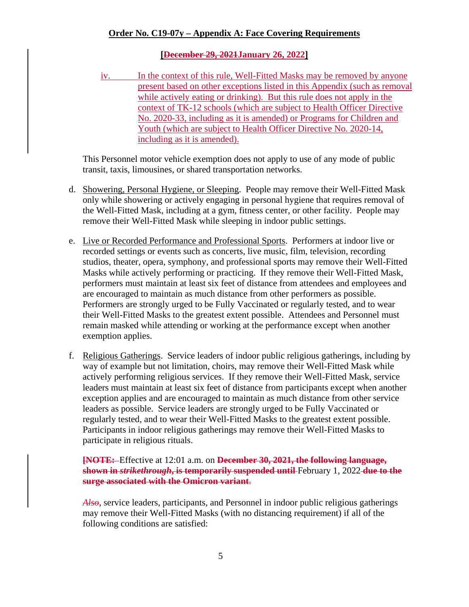## **[December 29, 2021January 26, 2022]**

iv. In the context of this rule, Well-Fitted Masks may be removed by anyone present based on other exceptions listed in this Appendix (such as removal while actively eating or drinking). But this rule does not apply in the context of TK-12 schools (which are subject to Health Officer Directive No. 2020-33, including as it is amended) or Programs for Children and Youth (which are subject to Health Officer Directive No. 2020-14, including as it is amended).

This Personnel motor vehicle exemption does not apply to use of any mode of public transit, taxis, limousines, or shared transportation networks.

- d. Showering, Personal Hygiene, or Sleeping. People may remove their Well-Fitted Mask only while showering or actively engaging in personal hygiene that requires removal of the Well-Fitted Mask, including at a gym, fitness center, or other facility. People may remove their Well-Fitted Mask while sleeping in indoor public settings.
- e. Live or Recorded Performance and Professional Sports. Performers at indoor live or recorded settings or events such as concerts, live music, film, television, recording studios, theater, opera, symphony, and professional sports may remove their Well-Fitted Masks while actively performing or practicing. If they remove their Well-Fitted Mask, performers must maintain at least six feet of distance from attendees and employees and are encouraged to maintain as much distance from other performers as possible. Performers are strongly urged to be Fully Vaccinated or regularly tested, and to wear their Well-Fitted Masks to the greatest extent possible. Attendees and Personnel must remain masked while attending or working at the performance except when another exemption applies.
- f. Religious Gatherings. Service leaders of indoor public religious gatherings, including by way of example but not limitation, choirs, may remove their Well-Fitted Mask while actively performing religious services. If they remove their Well-Fitted Mask, service leaders must maintain at least six feet of distance from participants except when another exception applies and are encouraged to maintain as much distance from other service leaders as possible. Service leaders are strongly urged to be Fully Vaccinated or regularly tested, and to wear their Well-Fitted Masks to the greatest extent possible. Participants in indoor religious gatherings may remove their Well-Fitted Masks to participate in religious rituals.

**[NOTE:** Effective at 12:01 a.m. on **December 30, 2021, the following language, shown in** *strikethrough***, is temporarily suspended until** February 1, 2022 **due to the surge associated with the Omicron variant**.

*Also*, service leaders, participants, and Personnel in indoor public religious gatherings may remove their Well-Fitted Masks (with no distancing requirement) if all of the following conditions are satisfied: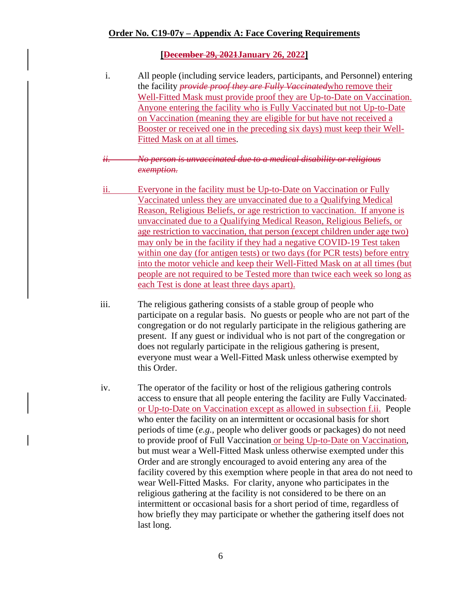#### **[December 29, 2021January 26, 2022]**

i. All people (including service leaders, participants, and Personnel) entering the facility *provide proof they are Fully Vaccinated*who remove their Well-Fitted Mask must provide proof they are Up-to-Date on Vaccination. Anyone entering the facility who is Fully Vaccinated but not Up-to-Date on Vaccination (meaning they are eligible for but have not received a Booster or received one in the preceding six days) must keep their Well-Fitted Mask on at all times.

#### *ii. No person is unvaccinated due to a medical disability or religious exemption.*

- ii. Everyone in the facility must be Up-to-Date on Vaccination or Fully Vaccinated unless they are unvaccinated due to a Qualifying Medical Reason, Religious Beliefs, or age restriction to vaccination. If anyone is unvaccinated due to a Qualifying Medical Reason, Religious Beliefs, or age restriction to vaccination, that person (except children under age two) may only be in the facility if they had a negative COVID-19 Test taken within one day (for antigen tests) or two days (for PCR tests) before entry into the motor vehicle and keep their Well-Fitted Mask on at all times (but people are not required to be Tested more than twice each week so long as each Test is done at least three days apart).
- iii. The religious gathering consists of a stable group of people who participate on a regular basis. No guests or people who are not part of the congregation or do not regularly participate in the religious gathering are present. If any guest or individual who is not part of the congregation or does not regularly participate in the religious gathering is present, everyone must wear a Well-Fitted Mask unless otherwise exempted by this Order.
- iv. The operator of the facility or host of the religious gathering controls access to ensure that all people entering the facility are Fully Vaccinated*.* or Up-to-Date on Vaccination except as allowed in subsection f.ii. People who enter the facility on an intermittent or occasional basis for short periods of time (*e.g.*, people who deliver goods or packages) do not need to provide proof of Full Vaccination or being Up-to-Date on Vaccination, but must wear a Well-Fitted Mask unless otherwise exempted under this Order and are strongly encouraged to avoid entering any area of the facility covered by this exemption where people in that area do not need to wear Well-Fitted Masks. For clarity, anyone who participates in the religious gathering at the facility is not considered to be there on an intermittent or occasional basis for a short period of time, regardless of how briefly they may participate or whether the gathering itself does not last long.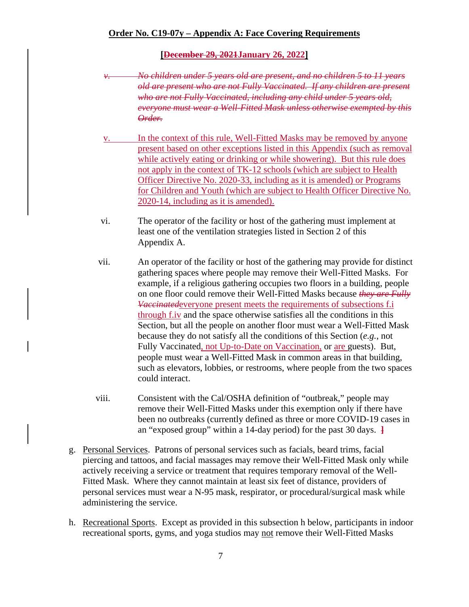#### **[December 29, 2021January 26, 2022]**

- *v. No children under 5 years old are present, and no children 5 to 11 years old are present who are not Fully Vaccinated. If any children are present who are not Fully Vaccinated, including any child under 5 years old, everyone must wear a Well-Fitted Mask unless otherwise exempted by this Order.*
- v. In the context of this rule, Well-Fitted Masks may be removed by anyone present based on other exceptions listed in this Appendix (such as removal while actively eating or drinking or while showering). But this rule does not apply in the context of TK-12 schools (which are subject to Health Officer Directive No. 2020-33, including as it is amended) or Programs for Children and Youth (which are subject to Health Officer Directive No. 2020-14, including as it is amended).
- vi. The operator of the facility or host of the gathering must implement at least one of the ventilation strategies listed in Section 2 of this Appendix A.
- vii. An operator of the facility or host of the gathering may provide for distinct gathering spaces where people may remove their Well-Fitted Masks. For example, if a religious gathering occupies two floors in a building, people on one floor could remove their Well-Fitted Masks because *they are Fully Vaccinated*everyone present meets the requirements of subsections f.i through f.iv and the space otherwise satisfies all the conditions in this Section, but all the people on another floor must wear a Well-Fitted Mask because they do not satisfy all the conditions of this Section (*e.g.*, not Fully Vaccinated, not Up-to-Date on Vaccination, or are guests). But, people must wear a Well-Fitted Mask in common areas in that building, such as elevators, lobbies, or restrooms, where people from the two spaces could interact.
- viii. Consistent with the Cal/OSHA definition of "outbreak," people may remove their Well-Fitted Masks under this exemption only if there have been no outbreaks (currently defined as three or more COVID-19 cases in an "exposed group" within a 14-day period) for the past 30 days. **]**
- g. Personal Services. Patrons of personal services such as facials, beard trims, facial piercing and tattoos, and facial massages may remove their Well-Fitted Mask only while actively receiving a service or treatment that requires temporary removal of the Well-Fitted Mask. Where they cannot maintain at least six feet of distance, providers of personal services must wear a N-95 mask, respirator, or procedural/surgical mask while administering the service.
- h. Recreational Sports. Except as provided in this subsection h below, participants in indoor recreational sports, gyms, and yoga studios may not remove their Well-Fitted Masks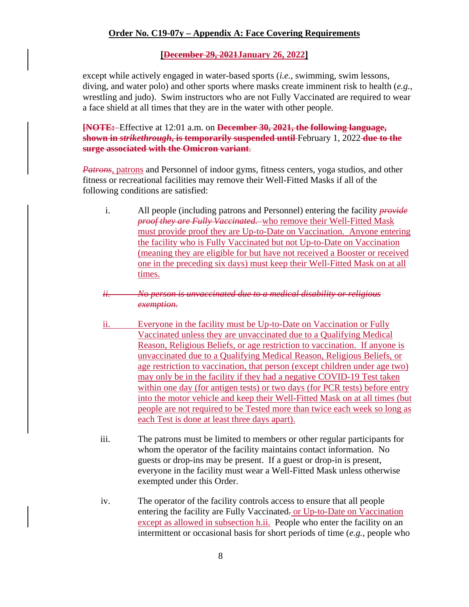## **[December 29, 2021January 26, 2022]**

except while actively engaged in water-based sports (*i.e.*, swimming, swim lessons, diving, and water polo) and other sports where masks create imminent risk to health (*e.g.*, wrestling and judo). Swim instructors who are not Fully Vaccinated are required to wear a face shield at all times that they are in the water with other people.

**[NOTE:** Effective at 12:01 a.m. on **December 30, 2021, the following language, shown in** *strikethrough***, is temporarily suspended until** February 1, 2022 **due to the surge associated with the Omicron variant**.

*Patrons*, patrons and Personnel of indoor gyms, fitness centers, yoga studios, and other fitness or recreational facilities may remove their Well-Fitted Masks if all of the following conditions are satisfied:

i. All people (including patrons and Personnel) entering the facility *provide proof they are Fully Vaccinated.* who remove their Well-Fitted Mask must provide proof they are Up-to-Date on Vaccination. Anyone entering the facility who is Fully Vaccinated but not Up-to-Date on Vaccination (meaning they are eligible for but have not received a Booster or received one in the preceding six days) must keep their Well-Fitted Mask on at all times.

## *ii. No person is unvaccinated due to a medical disability or religious exemption.*

- ii. Everyone in the facility must be Up-to-Date on Vaccination or Fully Vaccinated unless they are unvaccinated due to a Qualifying Medical Reason, Religious Beliefs, or age restriction to vaccination. If anyone is unvaccinated due to a Qualifying Medical Reason, Religious Beliefs, or age restriction to vaccination, that person (except children under age two) may only be in the facility if they had a negative COVID-19 Test taken within one day (for antigen tests) or two days (for PCR tests) before entry into the motor vehicle and keep their Well-Fitted Mask on at all times (but people are not required to be Tested more than twice each week so long as each Test is done at least three days apart).
- iii. The patrons must be limited to members or other regular participants for whom the operator of the facility maintains contact information. No guests or drop-ins may be present. If a guest or drop-in is present, everyone in the facility must wear a Well-Fitted Mask unless otherwise exempted under this Order.
- iv. The operator of the facility controls access to ensure that all people entering the facility are Fully Vaccinated*.* or Up-to-Date on Vaccination except as allowed in subsection h.ii. People who enter the facility on an intermittent or occasional basis for short periods of time (*e.g.*, people who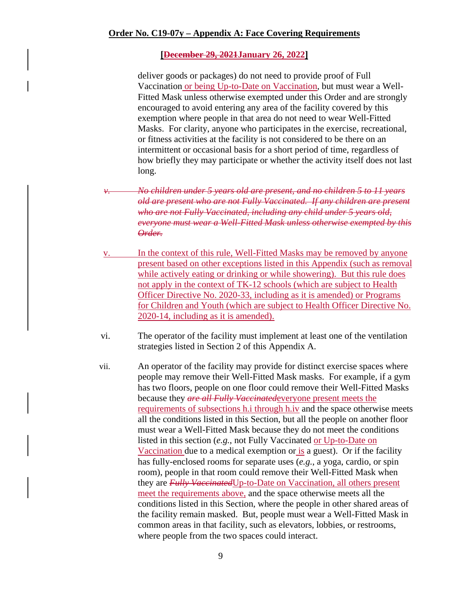#### **[December 29, 2021January 26, 2022]**

deliver goods or packages) do not need to provide proof of Full Vaccination or being Up-to-Date on Vaccination, but must wear a Well-Fitted Mask unless otherwise exempted under this Order and are strongly encouraged to avoid entering any area of the facility covered by this exemption where people in that area do not need to wear Well-Fitted Masks. For clarity, anyone who participates in the exercise, recreational, or fitness activities at the facility is not considered to be there on an intermittent or occasional basis for a short period of time, regardless of how briefly they may participate or whether the activity itself does not last long.

*v. No children under 5 years old are present, and no children 5 to 11 years old are present who are not Fully Vaccinated. If any children are present who are not Fully Vaccinated, including any child under 5 years old, everyone must wear a Well-Fitted Mask unless otherwise exempted by this Order.* 

- v. In the context of this rule, Well-Fitted Masks may be removed by anyone present based on other exceptions listed in this Appendix (such as removal while actively eating or drinking or while showering). But this rule does not apply in the context of TK-12 schools (which are subject to Health Officer Directive No. 2020-33, including as it is amended) or Programs for Children and Youth (which are subject to Health Officer Directive No. 2020-14, including as it is amended).
- vi. The operator of the facility must implement at least one of the ventilation strategies listed in Section 2 of this Appendix A.
- vii. An operator of the facility may provide for distinct exercise spaces where people may remove their Well-Fitted Mask masks. For example, if a gym has two floors, people on one floor could remove their Well-Fitted Masks because they *are all Fully Vaccinated*everyone present meets the requirements of subsections h.i through h.iv and the space otherwise meets all the conditions listed in this Section, but all the people on another floor must wear a Well-Fitted Mask because they do not meet the conditions listed in this section (*e.g.*, not Fully Vaccinated or Up-to-Date on Vaccination due to a medical exemption or is a guest). Or if the facility has fully-enclosed rooms for separate uses (*e.g.*, a yoga, cardio, or spin room), people in that room could remove their Well-Fitted Mask when they are *Fully Vaccinated*Up-to-Date on Vaccination, all others present meet the requirements above, and the space otherwise meets all the conditions listed in this Section, where the people in other shared areas of the facility remain masked. But, people must wear a Well-Fitted Mask in common areas in that facility, such as elevators, lobbies, or restrooms, where people from the two spaces could interact.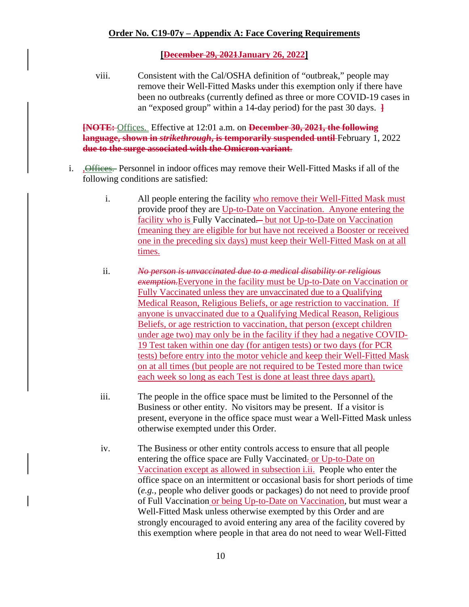#### **[December 29, 2021January 26, 2022]**

viii. Consistent with the Cal/OSHA definition of "outbreak," people may remove their Well-Fitted Masks under this exemption only if there have been no outbreaks (currently defined as three or more COVID-19 cases in an "exposed group" within a 14-day period) for the past 30 days. **]**

**[NOTE:** Offices. Effective at 12:01 a.m. on **December 30, 2021, the following language, shown in** *strikethrough***, is temporarily suspended until** February 1, 2022 **due to the surge associated with the Omicron variant**.

- i. , **Offices.** Personnel in indoor offices may remove their Well-Fitted Masks if all of the following conditions are satisfied:
	- i. All people entering the facility who remove their Well-Fitted Mask must provide proof they are Up-to-Date on Vaccination. Anyone entering the facility who is Fully Vaccinated*.* but not Up-to-Date on Vaccination (meaning they are eligible for but have not received a Booster or received one in the preceding six days) must keep their Well-Fitted Mask on at all times.
	- ii. *No person is unvaccinated due to a medical disability or religious exemption.*Everyone in the facility must be Up-to-Date on Vaccination or Fully Vaccinated unless they are unvaccinated due to a Qualifying Medical Reason, Religious Beliefs, or age restriction to vaccination. If anyone is unvaccinated due to a Qualifying Medical Reason, Religious Beliefs, or age restriction to vaccination, that person (except children under age two) may only be in the facility if they had a negative COVID-19 Test taken within one day (for antigen tests) or two days (for PCR tests) before entry into the motor vehicle and keep their Well-Fitted Mask on at all times (but people are not required to be Tested more than twice each week so long as each Test is done at least three days apart).
	- iii. The people in the office space must be limited to the Personnel of the Business or other entity. No visitors may be present. If a visitor is present, everyone in the office space must wear a Well-Fitted Mask unless otherwise exempted under this Order.
	- iv. The Business or other entity controls access to ensure that all people entering the office space are Fully Vaccinated*.* or Up-to-Date on Vaccination except as allowed in subsection i.ii. People who enter the office space on an intermittent or occasional basis for short periods of time (*e.g.*, people who deliver goods or packages) do not need to provide proof of Full Vaccination or being Up-to-Date on Vaccination, but must wear a Well-Fitted Mask unless otherwise exempted by this Order and are strongly encouraged to avoid entering any area of the facility covered by this exemption where people in that area do not need to wear Well-Fitted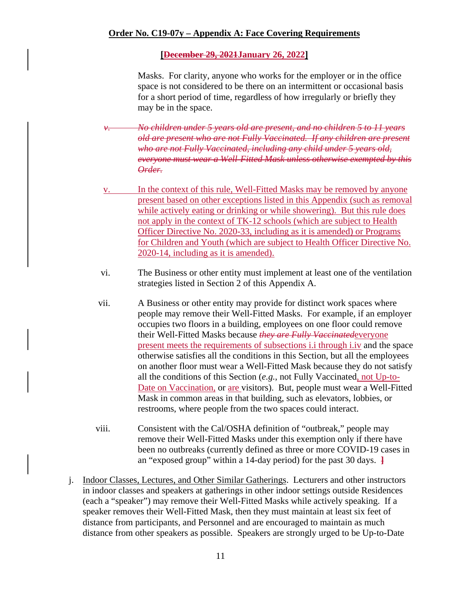## **[December 29, 2021January 26, 2022]**

Masks. For clarity, anyone who works for the employer or in the office space is not considered to be there on an intermittent or occasional basis for a short period of time, regardless of how irregularly or briefly they may be in the space.

*v. No children under 5 years old are present, and no children 5 to 11 years old are present who are not Fully Vaccinated. If any children are present who are not Fully Vaccinated, including any child under 5 years old, everyone must wear a Well-Fitted Mask unless otherwise exempted by this Order.* 

- v. In the context of this rule, Well-Fitted Masks may be removed by anyone present based on other exceptions listed in this Appendix (such as removal while actively eating or drinking or while showering). But this rule does not apply in the context of TK-12 schools (which are subject to Health Officer Directive No. 2020-33, including as it is amended) or Programs for Children and Youth (which are subject to Health Officer Directive No. 2020-14, including as it is amended).
- vi. The Business or other entity must implement at least one of the ventilation strategies listed in Section 2 of this Appendix A.
- vii. A Business or other entity may provide for distinct work spaces where people may remove their Well-Fitted Masks. For example, if an employer occupies two floors in a building, employees on one floor could remove their Well-Fitted Masks because *they are Fully Vaccinated*everyone present meets the requirements of subsections i.i through i.iv and the space otherwise satisfies all the conditions in this Section, but all the employees on another floor must wear a Well-Fitted Mask because they do not satisfy all the conditions of this Section (*e.g.*, not Fully Vaccinated, not Up-to-Date on Vaccination, or are visitors). But, people must wear a Well-Fitted Mask in common areas in that building, such as elevators, lobbies, or restrooms, where people from the two spaces could interact.
- viii. Consistent with the Cal/OSHA definition of "outbreak," people may remove their Well-Fitted Masks under this exemption only if there have been no outbreaks (currently defined as three or more COVID-19 cases in an "exposed group" within a 14-day period) for the past 30 days. **]**
- j. Indoor Classes, Lectures, and Other Similar Gatherings. Lecturers and other instructors in indoor classes and speakers at gatherings in other indoor settings outside Residences (each a "speaker") may remove their Well-Fitted Masks while actively speaking. If a speaker removes their Well-Fitted Mask, then they must maintain at least six feet of distance from participants, and Personnel and are encouraged to maintain as much distance from other speakers as possible. Speakers are strongly urged to be Up-to-Date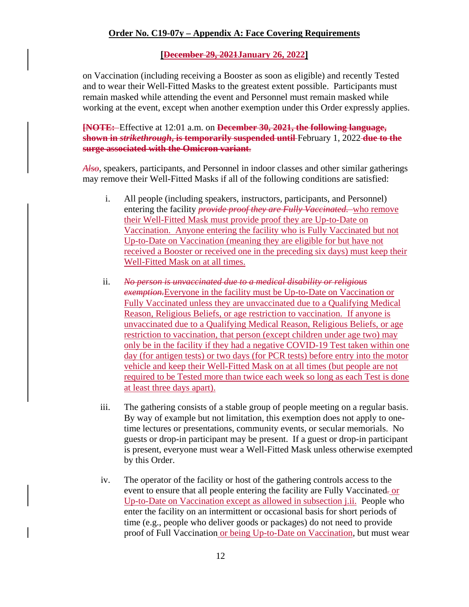### **[December 29, 2021January 26, 2022]**

on Vaccination (including receiving a Booster as soon as eligible) and recently Tested and to wear their Well-Fitted Masks to the greatest extent possible. Participants must remain masked while attending the event and Personnel must remain masked while working at the event, except when another exemption under this Order expressly applies.

**[NOTE:** Effective at 12:01 a.m. on **December 30, 2021, the following language, shown in** *strikethrough***, is temporarily suspended until** February 1, 2022 **due to the surge associated with the Omicron variant**.

*Also*, speakers, participants, and Personnel in indoor classes and other similar gatherings may remove their Well-Fitted Masks if all of the following conditions are satisfied:

- i. All people (including speakers, instructors, participants, and Personnel) entering the facility *provide proof they are Fully Vaccinated.* who remove their Well-Fitted Mask must provide proof they are Up-to-Date on Vaccination. Anyone entering the facility who is Fully Vaccinated but not Up-to-Date on Vaccination (meaning they are eligible for but have not received a Booster or received one in the preceding six days) must keep their Well-Fitted Mask on at all times.
- ii. *No person is unvaccinated due to a medical disability or religious exemption.*Everyone in the facility must be Up-to-Date on Vaccination or Fully Vaccinated unless they are unvaccinated due to a Qualifying Medical Reason, Religious Beliefs, or age restriction to vaccination. If anyone is unvaccinated due to a Qualifying Medical Reason, Religious Beliefs, or age restriction to vaccination, that person (except children under age two) may only be in the facility if they had a negative COVID-19 Test taken within one day (for antigen tests) or two days (for PCR tests) before entry into the motor vehicle and keep their Well-Fitted Mask on at all times (but people are not required to be Tested more than twice each week so long as each Test is done at least three days apart).
- iii. The gathering consists of a stable group of people meeting on a regular basis. By way of example but not limitation, this exemption does not apply to onetime lectures or presentations, community events, or secular memorials. No guests or drop-in participant may be present. If a guest or drop-in participant is present, everyone must wear a Well-Fitted Mask unless otherwise exempted by this Order.
- iv. The operator of the facility or host of the gathering controls access to the event to ensure that all people entering the facility are Fully Vaccinated*.* or Up-to-Date on Vaccination except as allowed in subsection j.ii. People who enter the facility on an intermittent or occasional basis for short periods of time (e.g., people who deliver goods or packages) do not need to provide proof of Full Vaccination or being Up-to-Date on Vaccination, but must wear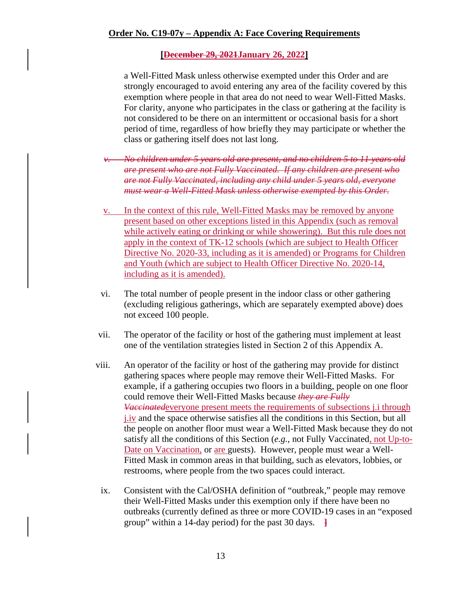#### **[December 29, 2021January 26, 2022]**

a Well-Fitted Mask unless otherwise exempted under this Order and are strongly encouraged to avoid entering any area of the facility covered by this exemption where people in that area do not need to wear Well-Fitted Masks. For clarity, anyone who participates in the class or gathering at the facility is not considered to be there on an intermittent or occasional basis for a short period of time, regardless of how briefly they may participate or whether the class or gathering itself does not last long.

- *v. No children under 5 years old are present, and no children 5 to 11 years old are present who are not Fully Vaccinated. If any children are present who are not Fully Vaccinated, including any child under 5 years old, everyone must wear a Well-Fitted Mask unless otherwise exempted by this Order.*
- v. In the context of this rule, Well-Fitted Masks may be removed by anyone present based on other exceptions listed in this Appendix (such as removal while actively eating or drinking or while showering). But this rule does not apply in the context of TK-12 schools (which are subject to Health Officer Directive No. 2020-33, including as it is amended) or Programs for Children and Youth (which are subject to Health Officer Directive No. 2020-14, including as it is amended).
- vi. The total number of people present in the indoor class or other gathering (excluding religious gatherings, which are separately exempted above) does not exceed 100 people.
- vii. The operator of the facility or host of the gathering must implement at least one of the ventilation strategies listed in Section 2 of this Appendix A.
- viii. An operator of the facility or host of the gathering may provide for distinct gathering spaces where people may remove their Well-Fitted Masks. For example, if a gathering occupies two floors in a building, people on one floor could remove their Well-Fitted Masks because *they are Fully Vaccinated*everyone present meets the requirements of subsections j.i through j.iv and the space otherwise satisfies all the conditions in this Section, but all the people on another floor must wear a Well-Fitted Mask because they do not satisfy all the conditions of this Section (*e.g.*, not Fully Vaccinated, not Up-to-Date on Vaccination, or are guests). However, people must wear a Well-Fitted Mask in common areas in that building, such as elevators, lobbies, or restrooms, where people from the two spaces could interact.
- ix. Consistent with the Cal/OSHA definition of "outbreak," people may remove their Well-Fitted Masks under this exemption only if there have been no outbreaks (currently defined as three or more COVID-19 cases in an "exposed group" within a 14-day period) for the past 30 days. **]**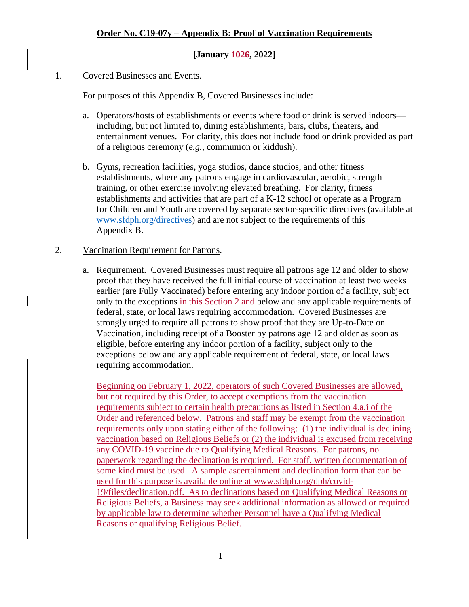## **[January 1026, 2022]**

## 1. Covered Businesses and Events.

For purposes of this Appendix B, Covered Businesses include:

- a. Operators/hosts of establishments or events where food or drink is served indoors including, but not limited to, dining establishments, bars, clubs, theaters, and entertainment venues. For clarity, this does not include food or drink provided as part of a religious ceremony (*e.g.*, communion or kiddush).
- b. Gyms, recreation facilities, yoga studios, dance studios, and other fitness establishments, where any patrons engage in cardiovascular, aerobic, strength training, or other exercise involving elevated breathing. For clarity, fitness establishments and activities that are part of a K-12 school or operate as a Program for Children and Youth are covered by separate sector-specific directives (available at [www.sfdph.org/directives\)](https://www.sfdph.org/directives) and are not subject to the requirements of this Appendix B.

## 2. Vaccination Requirement for Patrons.

a. Requirement. Covered Businesses must require all patrons age 12 and older to show proof that they have received the full initial course of vaccination at least two weeks earlier (are Fully Vaccinated) before entering any indoor portion of a facility, subject only to the exceptions in this Section 2 and below and any applicable requirements of federal, state, or local laws requiring accommodation. Covered Businesses are strongly urged to require all patrons to show proof that they are Up-to-Date on Vaccination, including receipt of a Booster by patrons age 12 and older as soon as eligible, before entering any indoor portion of a facility, subject only to the exceptions below and any applicable requirement of federal, state, or local laws requiring accommodation.

Beginning on February 1, 2022, operators of such Covered Businesses are allowed, but not required by this Order, to accept exemptions from the vaccination requirements subject to certain health precautions as listed in Section 4.a.i of the Order and referenced below. Patrons and staff may be exempt from the vaccination requirements only upon stating either of the following: (1) the individual is declining vaccination based on Religious Beliefs or (2) the individual is excused from receiving any COVID-19 vaccine due to Qualifying Medical Reasons. For patrons, no paperwork regarding the declination is required. For staff, written documentation of some kind must be used. A sample ascertainment and declination form that can be used for this purpose is available online at [www.sfdph.org/dph/covid-](https://www.sfdph.org/dph/covid-19/files/declination.pdf)[19/files/declination.pdf.](https://www.sfdph.org/dph/covid-19/files/declination.pdf) As to declinations based on Qualifying Medical Reasons or Religious Beliefs, a Business may seek additional information as allowed or required by applicable law to determine whether Personnel have a Qualifying Medical Reasons or qualifying Religious Belief.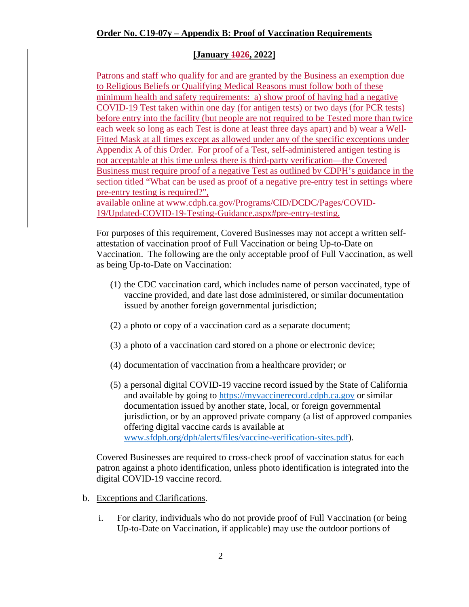## **Order No. C19-07y – Appendix B: Proof of Vaccination Requirements**

## **[January 1026, 2022]**

Patrons and staff who qualify for and are granted by the Business an exemption due to Religious Beliefs or Qualifying Medical Reasons must follow both of these minimum health and safety requirements: a) show proof of having had a negative COVID-19 Test taken within one day (for antigen tests) or two days (for PCR tests) before entry into the facility (but people are not required to be Tested more than twice each week so long as each Test is done at least three days apart) and b) wear a Well-Fitted Mask at all times except as allowed under any of the specific exceptions under Appendix A of this Order. For proof of a Test, self-administered antigen testing is not acceptable at this time unless there is third-party verification—the Covered Business must require proof of a negative Test as outlined by CDPH's guidance in the section titled "What can be used as proof of a negative pre-entry test in settings where pre-entry testing is required?",

available online at [www.cdph.ca.gov/Programs/CID/DCDC/Pages/COVID-](https://www.cdph.ca.gov/Programs/CID/DCDC/Pages/COVID-19/Updated-COVID-19-Testing-Guidance.aspx#pre-entry-testing)[19/Updated-COVID-19-Testing-Guidance.aspx#pre-entry-testing.](https://www.cdph.ca.gov/Programs/CID/DCDC/Pages/COVID-19/Updated-COVID-19-Testing-Guidance.aspx#pre-entry-testing)

For purposes of this requirement, Covered Businesses may not accept a written selfattestation of vaccination proof of Full Vaccination or being Up-to-Date on Vaccination. The following are the only acceptable proof of Full Vaccination, as well as being Up-to-Date on Vaccination:

- (1) the CDC vaccination card, which includes name of person vaccinated, type of vaccine provided, and date last dose administered, or similar documentation issued by another foreign governmental jurisdiction;
- (2) a photo or copy of a vaccination card as a separate document;
- (3) a photo of a vaccination card stored on a phone or electronic device;
- (4) documentation of vaccination from a healthcare provider; or
- (5) a personal digital COVID-19 vaccine record issued by the State of California and available by going to [https://myvaccinerecord.cdph.ca.gov](https://myvaccinerecord.cdph.ca.gov/) or similar documentation issued by another state, local, or foreign governmental jurisdiction, or by an approved private company (a list of approved companies offering digital vaccine cards is available at [www.sfdph.org/dph/alerts/files/vaccine-verification-sites.pdf\)](http://www.sfdph.org/dph/alerts/files/vaccine-verification-sites.pdf).

Covered Businesses are required to cross-check proof of vaccination status for each patron against a photo identification, unless photo identification is integrated into the digital COVID-19 vaccine record.

- b. Exceptions and Clarifications.
	- i. For clarity, individuals who do not provide proof of Full Vaccination (or being Up-to-Date on Vaccination, if applicable) may use the outdoor portions of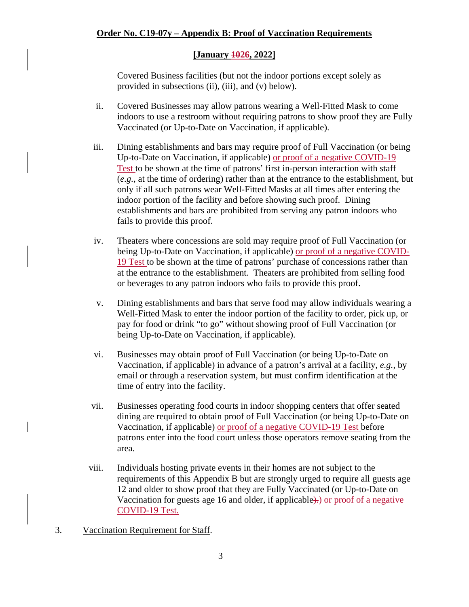## **[January 1026, 2022]**

Covered Business facilities (but not the indoor portions except solely as provided in subsections (ii), (iii), and (v) below).

- ii. Covered Businesses may allow patrons wearing a Well-Fitted Mask to come indoors to use a restroom without requiring patrons to show proof they are Fully Vaccinated (or Up-to-Date on Vaccination, if applicable).
- iii. Dining establishments and bars may require proof of Full Vaccination (or being Up-to-Date on Vaccination, if applicable) or proof of a negative COVID-19 Test to be shown at the time of patrons' first in-person interaction with staff (*e.g.*, at the time of ordering) rather than at the entrance to the establishment, but only if all such patrons wear Well-Fitted Masks at all times after entering the indoor portion of the facility and before showing such proof. Dining establishments and bars are prohibited from serving any patron indoors who fails to provide this proof.
- iv. Theaters where concessions are sold may require proof of Full Vaccination (or being Up-to-Date on Vaccination, if applicable) or proof of a negative COVID-19 Test to be shown at the time of patrons' purchase of concessions rather than at the entrance to the establishment. Theaters are prohibited from selling food or beverages to any patron indoors who fails to provide this proof.
- v. Dining establishments and bars that serve food may allow individuals wearing a Well-Fitted Mask to enter the indoor portion of the facility to order, pick up, or pay for food or drink "to go" without showing proof of Full Vaccination (or being Up-to-Date on Vaccination, if applicable).
- vi. Businesses may obtain proof of Full Vaccination (or being Up-to-Date on Vaccination, if applicable) in advance of a patron's arrival at a facility, *e.g.*, by email or through a reservation system, but must confirm identification at the time of entry into the facility.
- vii. Businesses operating food courts in indoor shopping centers that offer seated dining are required to obtain proof of Full Vaccination (or being Up-to-Date on Vaccination, if applicable) or proof of a negative COVID-19 Test before patrons enter into the food court unless those operators remove seating from the area.
- viii. Individuals hosting private events in their homes are not subject to the requirements of this Appendix B but are strongly urged to require all guests age 12 and older to show proof that they are Fully Vaccinated (or Up-to-Date on Vaccination for guests age 16 and older, if applicable). Or proof of a negative COVID-19 Test.
- 3. Vaccination Requirement for Staff.